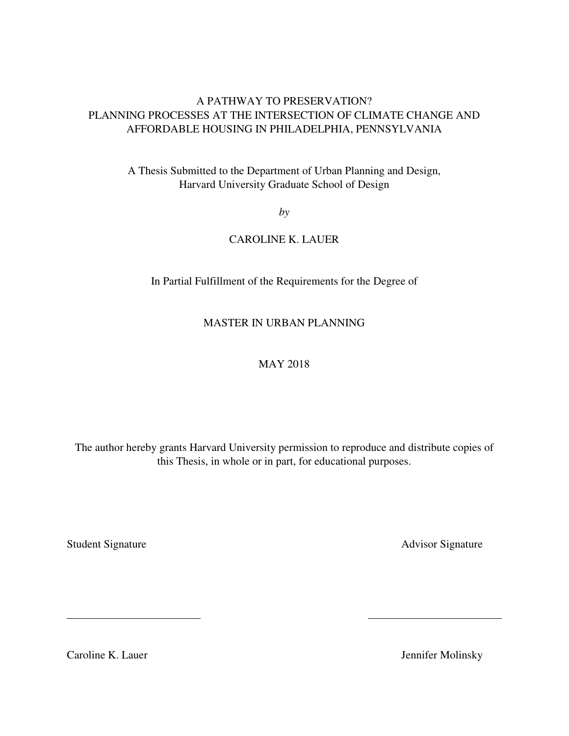# A PATHWAY TO PRESERVATION? PLANNING PROCESSES AT THE INTERSECTION OF CLIMATE CHANGE AND AFFORDABLE HOUSING IN PHILADELPHIA, PENNSYLVANIA

A Thesis Submitted to the Department of Urban Planning and Design, Harvard University Graduate School of Design

*by* 

# CAROLINE K. LAUER

In Partial Fulfillment of the Requirements for the Degree of

# MASTER IN URBAN PLANNING

# MAY 2018

The author hereby grants Harvard University permission to reproduce and distribute copies of this Thesis, in whole or in part, for educational purposes.

Student Signature Advisor Signature

Caroline K. Lauer Jennifer Molinsky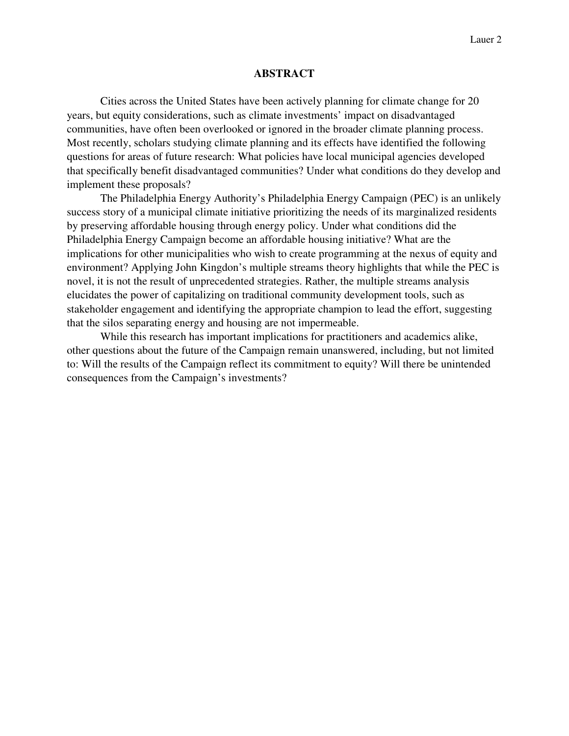### **ABSTRACT**

Cities across the United States have been actively planning for climate change for 20 years, but equity considerations, such as climate investments' impact on disadvantaged communities, have often been overlooked or ignored in the broader climate planning process. Most recently, scholars studying climate planning and its effects have identified the following questions for areas of future research: What policies have local municipal agencies developed that specifically benefit disadvantaged communities? Under what conditions do they develop and implement these proposals?

 The Philadelphia Energy Authority's Philadelphia Energy Campaign (PEC) is an unlikely success story of a municipal climate initiative prioritizing the needs of its marginalized residents by preserving affordable housing through energy policy. Under what conditions did the Philadelphia Energy Campaign become an affordable housing initiative? What are the implications for other municipalities who wish to create programming at the nexus of equity and environment? Applying John Kingdon's multiple streams theory highlights that while the PEC is novel, it is not the result of unprecedented strategies. Rather, the multiple streams analysis elucidates the power of capitalizing on traditional community development tools, such as stakeholder engagement and identifying the appropriate champion to lead the effort, suggesting that the silos separating energy and housing are not impermeable.

While this research has important implications for practitioners and academics alike, other questions about the future of the Campaign remain unanswered, including, but not limited to: Will the results of the Campaign reflect its commitment to equity? Will there be unintended consequences from the Campaign's investments?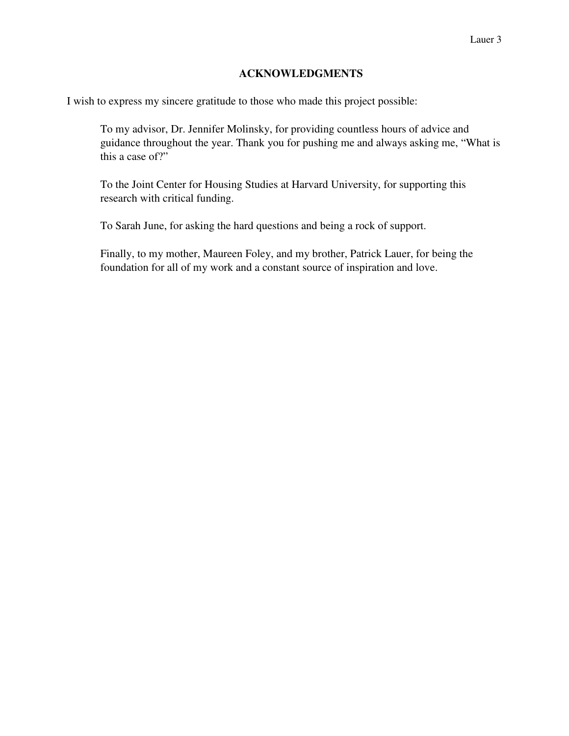## **ACKNOWLEDGMENTS**

I wish to express my sincere gratitude to those who made this project possible:

To my advisor, Dr. Jennifer Molinsky, for providing countless hours of advice and guidance throughout the year. Thank you for pushing me and always asking me, "What is this a case of?"

To the Joint Center for Housing Studies at Harvard University, for supporting this research with critical funding.

To Sarah June, for asking the hard questions and being a rock of support.

Finally, to my mother, Maureen Foley, and my brother, Patrick Lauer, for being the foundation for all of my work and a constant source of inspiration and love.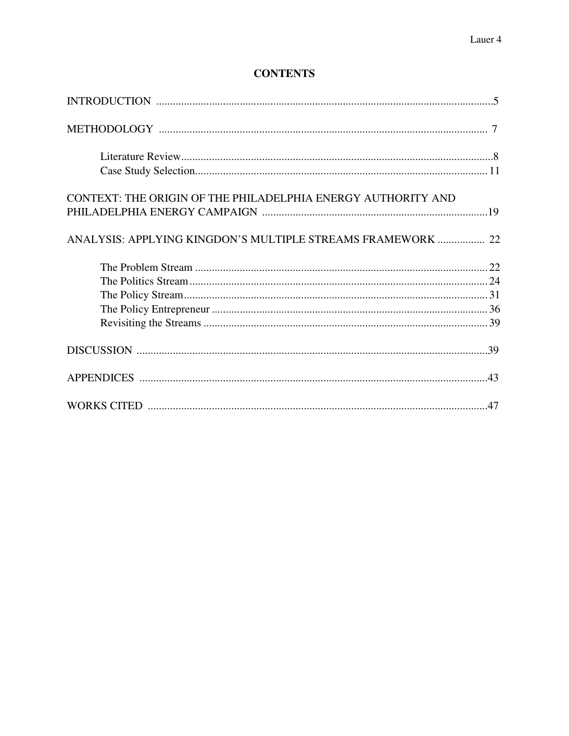# **CONTENTS**

| CONTEXT: THE ORIGIN OF THE PHILADELPHIA ENERGY AUTHORITY AND |  |
|--------------------------------------------------------------|--|
|                                                              |  |
| ANALYSIS: APPLYING KINGDON'S MULTIPLE STREAMS FRAMEWORK  22  |  |
|                                                              |  |
|                                                              |  |
|                                                              |  |
|                                                              |  |
|                                                              |  |
|                                                              |  |
|                                                              |  |
|                                                              |  |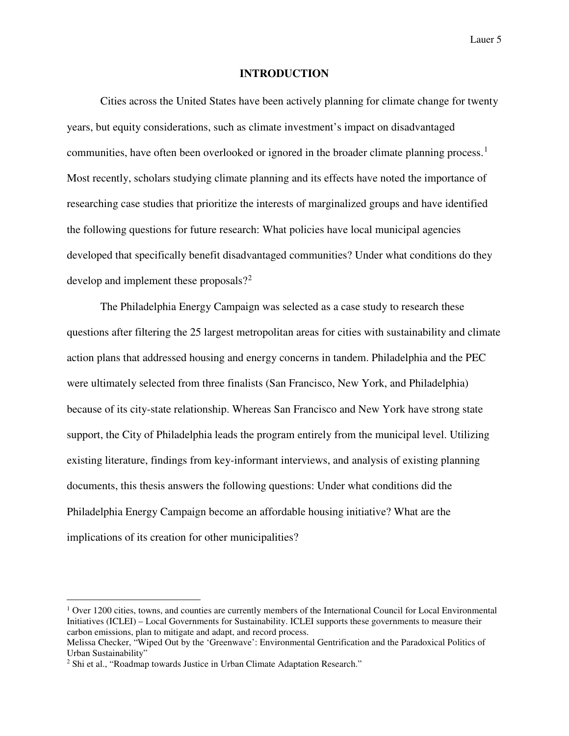### **INTRODUCTION**

Cities across the United States have been actively planning for climate change for twenty years, but equity considerations, such as climate investment's impact on disadvantaged communities, have often been overlooked or ignored in the broader climate planning process.<sup>[1](#page-4-0)</sup> Most recently, scholars studying climate planning and its effects have noted the importance of researching case studies that prioritize the interests of marginalized groups and have identified the following questions for future research: What policies have local municipal agencies developed that specifically benefit disadvantaged communities? Under what conditions do they develop and implement these proposals?<sup>[2](#page-4-1)</sup>

The Philadelphia Energy Campaign was selected as a case study to research these questions after filtering the 25 largest metropolitan areas for cities with sustainability and climate action plans that addressed housing and energy concerns in tandem. Philadelphia and the PEC were ultimately selected from three finalists (San Francisco, New York, and Philadelphia) because of its city-state relationship. Whereas San Francisco and New York have strong state support, the City of Philadelphia leads the program entirely from the municipal level. Utilizing existing literature, findings from key-informant interviews, and analysis of existing planning documents, this thesis answers the following questions: Under what conditions did the Philadelphia Energy Campaign become an affordable housing initiative? What are the implications of its creation for other municipalities?

<span id="page-4-0"></span> $1$  Over 1200 cities, towns, and counties are currently members of the International Council for Local Environmental Initiatives (ICLEI) – Local Governments for Sustainability. ICLEI supports these governments to measure their carbon emissions, plan to mitigate and adapt, and record process.

Melissa Checker, "Wiped Out by the 'Greenwave': Environmental Gentrification and the Paradoxical Politics of Urban Sustainability"

<span id="page-4-1"></span><sup>&</sup>lt;sup>2</sup> Shi et al., "Roadmap towards Justice in Urban Climate Adaptation Research."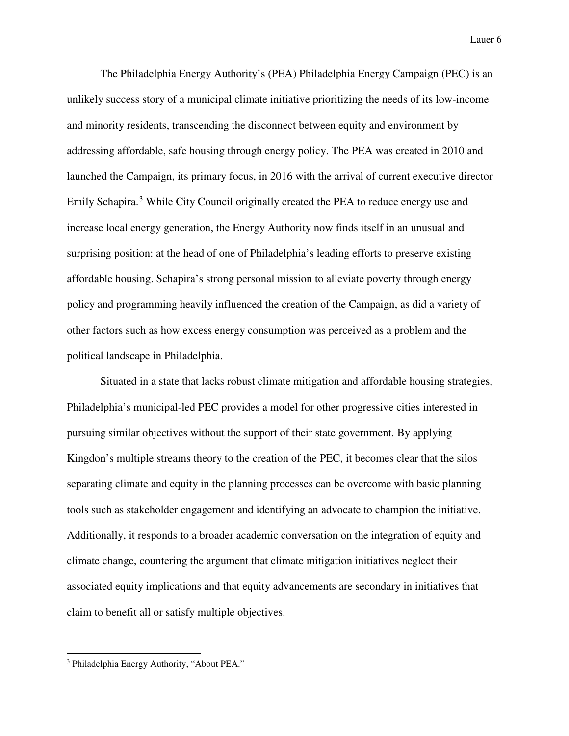The Philadelphia Energy Authority's (PEA) Philadelphia Energy Campaign (PEC) is an unlikely success story of a municipal climate initiative prioritizing the needs of its low-income and minority residents, transcending the disconnect between equity and environment by addressing affordable, safe housing through energy policy. The PEA was created in 2010 and launched the Campaign, its primary focus, in 2016 with the arrival of current executive director Emily Schapira.<sup>[3](#page-5-0)</sup> While City Council originally created the PEA to reduce energy use and increase local energy generation, the Energy Authority now finds itself in an unusual and surprising position: at the head of one of Philadelphia's leading efforts to preserve existing affordable housing. Schapira's strong personal mission to alleviate poverty through energy policy and programming heavily influenced the creation of the Campaign, as did a variety of other factors such as how excess energy consumption was perceived as a problem and the political landscape in Philadelphia.

Situated in a state that lacks robust climate mitigation and affordable housing strategies, Philadelphia's municipal-led PEC provides a model for other progressive cities interested in pursuing similar objectives without the support of their state government. By applying Kingdon's multiple streams theory to the creation of the PEC, it becomes clear that the silos separating climate and equity in the planning processes can be overcome with basic planning tools such as stakeholder engagement and identifying an advocate to champion the initiative. Additionally, it responds to a broader academic conversation on the integration of equity and climate change, countering the argument that climate mitigation initiatives neglect their associated equity implications and that equity advancements are secondary in initiatives that claim to benefit all or satisfy multiple objectives.

<span id="page-5-0"></span><sup>3</sup> Philadelphia Energy Authority, "About PEA."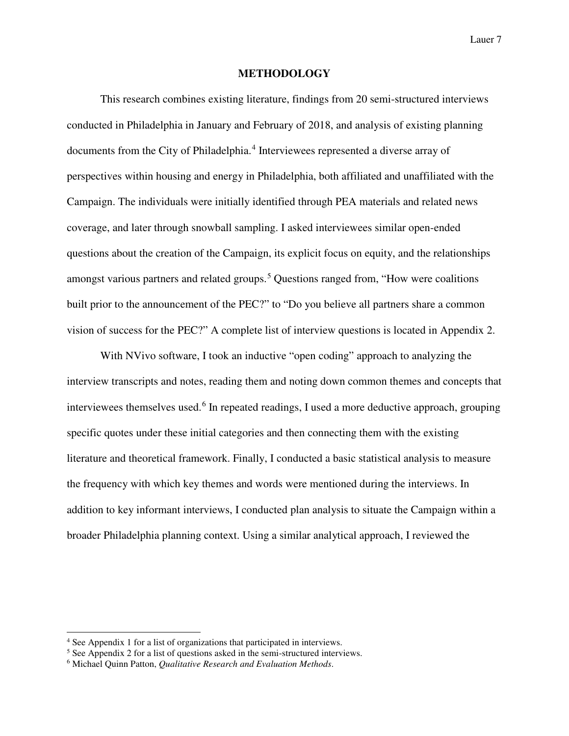### **METHODOLOGY**

This research combines existing literature, findings from 20 semi-structured interviews conducted in Philadelphia in January and February of 2018, and analysis of existing planning documents from the City of Philadelphia.<sup>[4](#page-6-0)</sup> Interviewees represented a diverse array of perspectives within housing and energy in Philadelphia, both affiliated and unaffiliated with the Campaign. The individuals were initially identified through PEA materials and related news coverage, and later through snowball sampling. I asked interviewees similar open-ended questions about the creation of the Campaign, its explicit focus on equity, and the relationships amongst various partners and related groups.<sup>[5](#page-6-1)</sup> Questions ranged from, "How were coalitions" built prior to the announcement of the PEC?" to "Do you believe all partners share a common vision of success for the PEC?" A complete list of interview questions is located in Appendix 2.

With NVivo software, I took an inductive "open coding" approach to analyzing the interview transcripts and notes, reading them and noting down common themes and concepts that interviewees themselves used.<sup>[6](#page-6-2)</sup> In repeated readings, I used a more deductive approach, grouping specific quotes under these initial categories and then connecting them with the existing literature and theoretical framework. Finally, I conducted a basic statistical analysis to measure the frequency with which key themes and words were mentioned during the interviews. In addition to key informant interviews, I conducted plan analysis to situate the Campaign within a broader Philadelphia planning context. Using a similar analytical approach, I reviewed the

<span id="page-6-0"></span><sup>4</sup> See Appendix 1 for a list of organizations that participated in interviews.

<span id="page-6-1"></span><sup>5</sup> See Appendix 2 for a list of questions asked in the semi-structured interviews.

<span id="page-6-2"></span><sup>6</sup> Michael Quinn Patton, *Qualitative Research and Evaluation Methods*.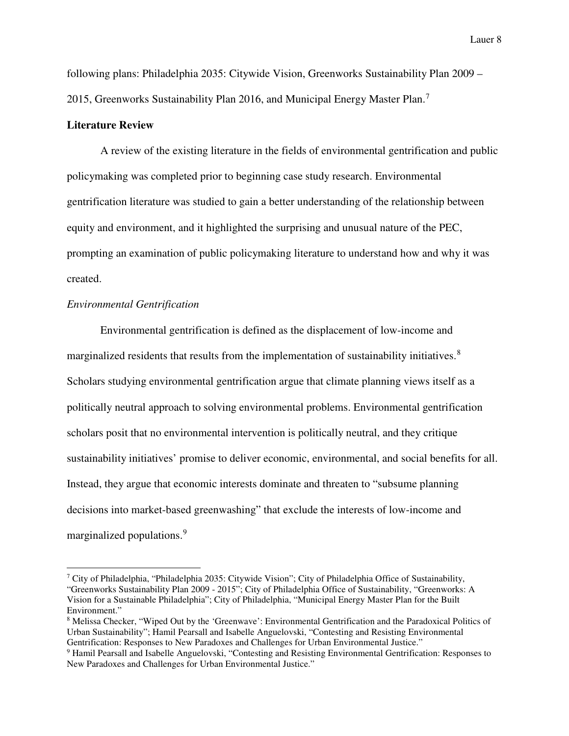following plans: Philadelphia 2035: Citywide Vision, Greenworks Sustainability Plan 2009 – 2015, Greenworks Sustainability Plan 2016, and Municipal Energy Master Plan.<sup>[7](#page-7-0)</sup>

### **Literature Review**

A review of the existing literature in the fields of environmental gentrification and public policymaking was completed prior to beginning case study research. Environmental gentrification literature was studied to gain a better understanding of the relationship between equity and environment, and it highlighted the surprising and unusual nature of the PEC, prompting an examination of public policymaking literature to understand how and why it was created.

### *Environmental Gentrification*

 $\overline{a}$ 

 Environmental gentrification is defined as the displacement of low-income and marginalized residents that results from the implementation of sustainability initiatives.<sup>[8](#page-7-1)</sup> Scholars studying environmental gentrification argue that climate planning views itself as a politically neutral approach to solving environmental problems. Environmental gentrification scholars posit that no environmental intervention is politically neutral, and they critique sustainability initiatives' promise to deliver economic, environmental, and social benefits for all. Instead, they argue that economic interests dominate and threaten to "subsume planning decisions into market-based greenwashing" that exclude the interests of low-income and marginalized populations.<sup>[9](#page-7-2)</sup>

<span id="page-7-0"></span><sup>7</sup> City of Philadelphia, "Philadelphia 2035: Citywide Vision"; City of Philadelphia Office of Sustainability, "Greenworks Sustainability Plan 2009 - 2015"; City of Philadelphia Office of Sustainability, "Greenworks: A Vision for a Sustainable Philadelphia"; City of Philadelphia, "Municipal Energy Master Plan for the Built Environment."

<span id="page-7-1"></span><sup>8</sup> Melissa Checker, "Wiped Out by the 'Greenwave': Environmental Gentrification and the Paradoxical Politics of Urban Sustainability"; Hamil Pearsall and Isabelle Anguelovski, "Contesting and Resisting Environmental Gentrification: Responses to New Paradoxes and Challenges for Urban Environmental Justice."

<span id="page-7-2"></span><sup>9</sup> Hamil Pearsall and Isabelle Anguelovski, "Contesting and Resisting Environmental Gentrification: Responses to New Paradoxes and Challenges for Urban Environmental Justice."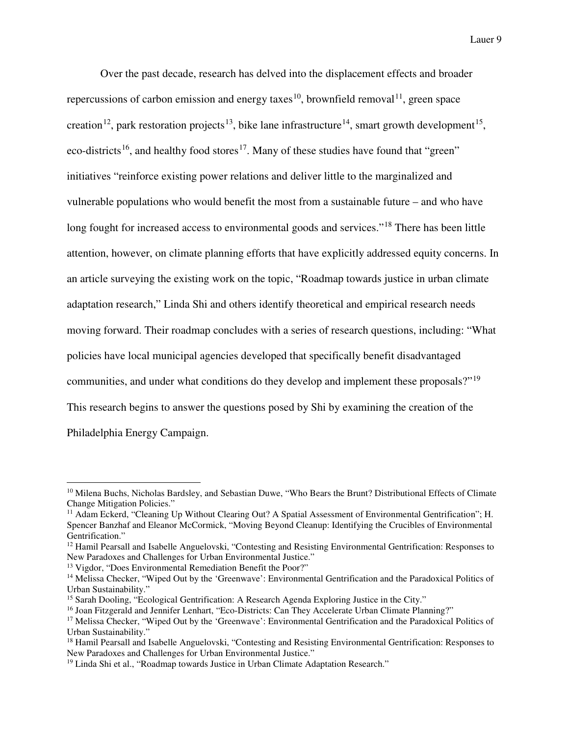Over the past decade, research has delved into the displacement effects and broader repercussions of carbon emission and energy taxes<sup>[10](#page-8-0)</sup>, brownfield removal<sup>[11](#page-8-1)</sup>, green space creation<sup>[12](#page-8-2)</sup>, park restoration projects<sup>[13](#page-8-3)</sup>, bike lane infrastructure<sup>[14](#page-8-4)</sup>, smart growth development<sup>[15](#page-8-5)</sup>, eco-districts<sup>[16](#page-8-6)</sup>, and healthy food stores<sup>[17](#page-8-7)</sup>. Many of these studies have found that "green" initiatives "reinforce existing power relations and deliver little to the marginalized and vulnerable populations who would benefit the most from a sustainable future – and who have long fought for increased access to environmental goods and services."<sup>[18](#page-8-8)</sup> There has been little attention, however, on climate planning efforts that have explicitly addressed equity concerns. In an article surveying the existing work on the topic, "Roadmap towards justice in urban climate adaptation research," Linda Shi and others identify theoretical and empirical research needs moving forward. Their roadmap concludes with a series of research questions, including: "What policies have local municipal agencies developed that specifically benefit disadvantaged communities, and under what conditions do they develop and implement these proposals?"[19](#page-8-9) This research begins to answer the questions posed by Shi by examining the creation of the Philadelphia Energy Campaign.

<span id="page-8-3"></span><sup>13</sup> Vigdor, "Does Environmental Remediation Benefit the Poor?"

l

<span id="page-8-0"></span><sup>&</sup>lt;sup>10</sup> Milena Buchs, Nicholas Bardsley, and Sebastian Duwe, "Who Bears the Brunt? Distributional Effects of Climate Change Mitigation Policies."

<span id="page-8-1"></span><sup>&</sup>lt;sup>11</sup> Adam Eckerd, "Cleaning Up Without Clearing Out? A Spatial Assessment of Environmental Gentrification"; H. Spencer Banzhaf and Eleanor McCormick, "Moving Beyond Cleanup: Identifying the Crucibles of Environmental Gentrification."

<span id="page-8-2"></span><sup>&</sup>lt;sup>12</sup> Hamil Pearsall and Isabelle Anguelovski, "Contesting and Resisting Environmental Gentrification: Responses to New Paradoxes and Challenges for Urban Environmental Justice."

<span id="page-8-4"></span><sup>&</sup>lt;sup>14</sup> Melissa Checker, "Wiped Out by the 'Greenwave': Environmental Gentrification and the Paradoxical Politics of Urban Sustainability."

<span id="page-8-5"></span><sup>&</sup>lt;sup>15</sup> Sarah Dooling, "Ecological Gentrification: A Research Agenda Exploring Justice in the City."

<span id="page-8-6"></span><sup>&</sup>lt;sup>16</sup> Joan Fitzgerald and Jennifer Lenhart, "Eco-Districts: Can They Accelerate Urban Climate Planning?"

<span id="page-8-7"></span><sup>&</sup>lt;sup>17</sup> Melissa Checker, "Wiped Out by the 'Greenwave': Environmental Gentrification and the Paradoxical Politics of Urban Sustainability."

<span id="page-8-8"></span><sup>&</sup>lt;sup>18</sup> Hamil Pearsall and Isabelle Anguelovski, "Contesting and Resisting Environmental Gentrification: Responses to New Paradoxes and Challenges for Urban Environmental Justice."

<span id="page-8-9"></span><sup>&</sup>lt;sup>19</sup> Linda Shi et al., "Roadmap towards Justice in Urban Climate Adaptation Research."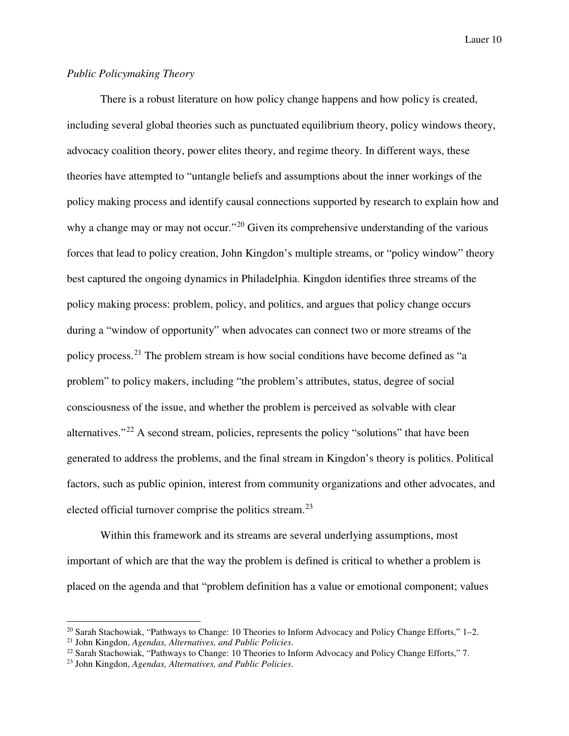## *Public Policymaking Theory*

 There is a robust literature on how policy change happens and how policy is created, including several global theories such as punctuated equilibrium theory, policy windows theory, advocacy coalition theory, power elites theory, and regime theory. In different ways, these theories have attempted to "untangle beliefs and assumptions about the inner workings of the policy making process and identify causal connections supported by research to explain how and why a change may or may not occur."<sup>[20](#page-9-0)</sup> Given its comprehensive understanding of the various forces that lead to policy creation, John Kingdon's multiple streams, or "policy window" theory best captured the ongoing dynamics in Philadelphia. Kingdon identifies three streams of the policy making process: problem, policy, and politics, and argues that policy change occurs during a "window of opportunity" when advocates can connect two or more streams of the policy process.[21](#page-9-1) The problem stream is how social conditions have become defined as "a problem" to policy makers, including "the problem's attributes, status, degree of social consciousness of the issue, and whether the problem is perceived as solvable with clear alternatives."<sup>[22](#page-9-2)</sup> A second stream, policies, represents the policy "solutions" that have been generated to address the problems, and the final stream in Kingdon's theory is politics. Political factors, such as public opinion, interest from community organizations and other advocates, and elected official turnover comprise the politics stream.<sup>[23](#page-9-3)</sup>

Within this framework and its streams are several underlying assumptions, most important of which are that the way the problem is defined is critical to whether a problem is placed on the agenda and that "problem definition has a value or emotional component; values

<span id="page-9-0"></span><sup>&</sup>lt;sup>20</sup> Sarah Stachowiak, "Pathways to Change: 10 Theories to Inform Advocacy and Policy Change Efforts," 1–2.

<span id="page-9-1"></span><sup>21</sup> John Kingdon, *Agendas, Alternatives, and Public Policies*.

<span id="page-9-2"></span><sup>&</sup>lt;sup>22</sup> Sarah Stachowiak, "Pathways to Change: 10 Theories to Inform Advocacy and Policy Change Efforts," 7.

<span id="page-9-3"></span><sup>23</sup> John Kingdon, *Agendas, Alternatives, and Public Policies*.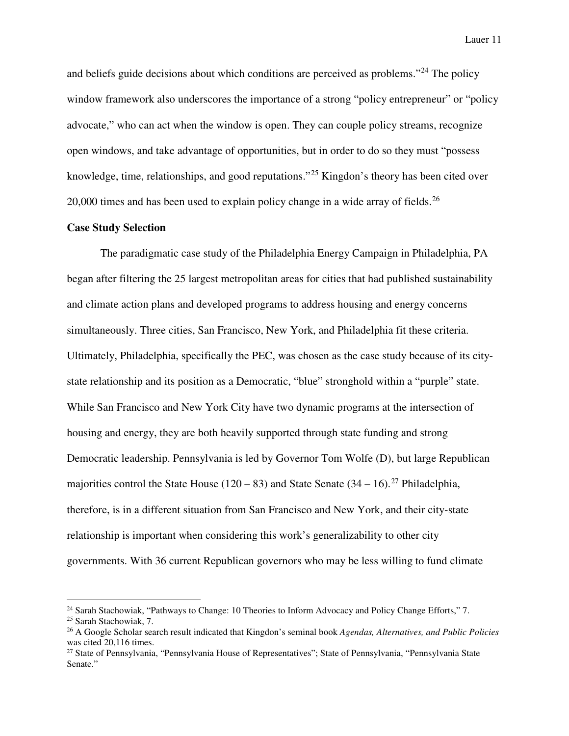and beliefs guide decisions about which conditions are perceived as problems."[24](#page-10-0) The policy window framework also underscores the importance of a strong "policy entrepreneur" or "policy advocate," who can act when the window is open. They can couple policy streams, recognize open windows, and take advantage of opportunities, but in order to do so they must "possess knowledge, time, relationships, and good reputations."[25](#page-10-1) Kingdon's theory has been cited over 20,000 times and has been used to explain policy change in a wide array of fields. $26$ 

### **Case Study Selection**

The paradigmatic case study of the Philadelphia Energy Campaign in Philadelphia, PA began after filtering the 25 largest metropolitan areas for cities that had published sustainability and climate action plans and developed programs to address housing and energy concerns simultaneously. Three cities, San Francisco, New York, and Philadelphia fit these criteria. Ultimately, Philadelphia, specifically the PEC, was chosen as the case study because of its citystate relationship and its position as a Democratic, "blue" stronghold within a "purple" state. While San Francisco and New York City have two dynamic programs at the intersection of housing and energy, they are both heavily supported through state funding and strong Democratic leadership. Pennsylvania is led by Governor Tom Wolfe (D), but large Republican majorities control the State House (120 – 83) and State Senate (34 – 16).<sup>[27](#page-10-3)</sup> Philadelphia, therefore, is in a different situation from San Francisco and New York, and their city-state relationship is important when considering this work's generalizability to other city governments. With 36 current Republican governors who may be less willing to fund climate

<span id="page-10-0"></span><sup>24</sup> Sarah Stachowiak, "Pathways to Change: 10 Theories to Inform Advocacy and Policy Change Efforts," 7.

<span id="page-10-2"></span><span id="page-10-1"></span><sup>25</sup> Sarah Stachowiak, 7.

<sup>26</sup> A Google Scholar search result indicated that Kingdon's seminal book *Agendas, Alternatives, and Public Policies* was cited 20,116 times.

<span id="page-10-3"></span><sup>27</sup> State of Pennsylvania, "Pennsylvania House of Representatives"; State of Pennsylvania, "Pennsylvania State Senate."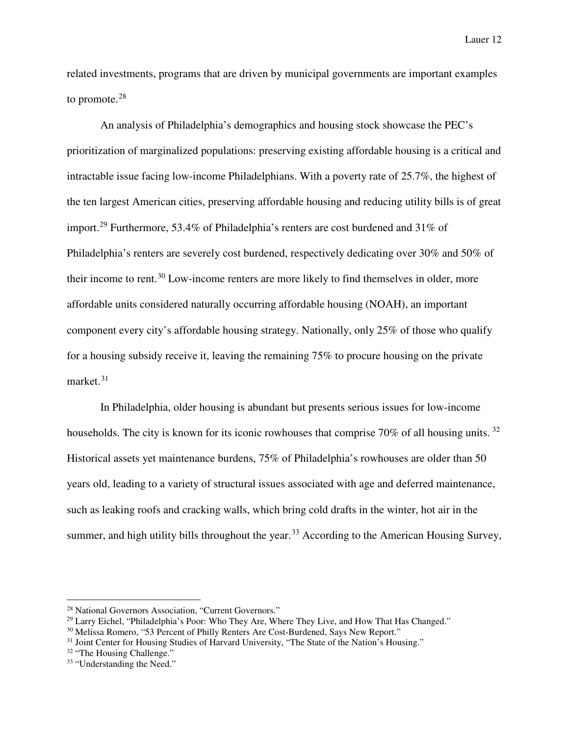related investments, programs that are driven by municipal governments are important examples to promote. $28$ 

An analysis of Philadelphia's demographics and housing stock showcase the PEC's prioritization of marginalized populations: preserving existing affordable housing is a critical and intractable issue facing low-income Philadelphians. With a poverty rate of 25.7%, the highest of the ten largest American cities, preserving affordable housing and reducing utility bills is of great import.[29](#page-11-1) Furthermore, 53.4% of Philadelphia's renters are cost burdened and 31% of Philadelphia's renters are severely cost burdened, respectively dedicating over 30% and 50% of their income to rent.<sup>[30](#page-11-2)</sup> Low-income renters are more likely to find themselves in older, more affordable units considered naturally occurring affordable housing (NOAH), an important component every city's affordable housing strategy. Nationally, only 25% of those who qualify for a housing subsidy receive it, leaving the remaining 75% to procure housing on the private market.<sup>[31](#page-11-3)</sup>

In Philadelphia, older housing is abundant but presents serious issues for low-income households. The city is known for its iconic rowhouses that comprise 70% of all housing units.<sup>[32](#page-11-4)</sup> Historical assets yet maintenance burdens, 75% of Philadelphia's rowhouses are older than 50 years old, leading to a variety of structural issues associated with age and deferred maintenance, such as leaking roofs and cracking walls, which bring cold drafts in the winter, hot air in the summer, and high utility bills throughout the year.<sup>[33](#page-11-5)</sup> According to the American Housing Survey,

<span id="page-11-0"></span><sup>28</sup> National Governors Association, "Current Governors."

<span id="page-11-1"></span><sup>&</sup>lt;sup>29</sup> Larry Eichel, "Philadelphia's Poor: Who They Are, Where They Live, and How That Has Changed."

<span id="page-11-2"></span><sup>&</sup>lt;sup>30</sup> Melissa Romero, "53 Percent of Philly Renters Are Cost-Burdened, Says New Report."

<span id="page-11-3"></span><sup>&</sup>lt;sup>31</sup> Joint Center for Housing Studies of Harvard University, "The State of the Nation's Housing."

<span id="page-11-4"></span><sup>&</sup>lt;sup>32</sup> "The Housing Challenge."

<span id="page-11-5"></span><sup>&</sup>lt;sup>33</sup> "Understanding the Need."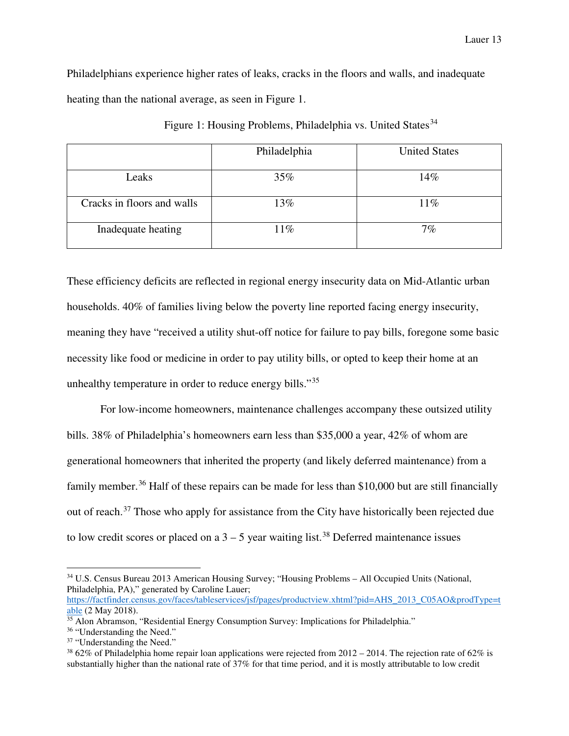Philadelphians experience higher rates of leaks, cracks in the floors and walls, and inadequate heating than the national average, as seen in Figure 1.

|                            | Philadelphia | <b>United States</b> |
|----------------------------|--------------|----------------------|
| Leaks                      | 35%          | 14%                  |
| Cracks in floors and walls | 13%          | 11%                  |
| Inadequate heating         | 11%          | 7%                   |

Figure 1: Housing Problems, Philadelphia vs. United States<sup>[34](#page-12-0)</sup>

These efficiency deficits are reflected in regional energy insecurity data on Mid-Atlantic urban households. 40% of families living below the poverty line reported facing energy insecurity, meaning they have "received a utility shut-off notice for failure to pay bills, foregone some basic necessity like food or medicine in order to pay utility bills, or opted to keep their home at an unhealthy temperature in order to reduce energy bills."<sup>[35](#page-12-1)</sup>

For low-income homeowners, maintenance challenges accompany these outsized utility bills. 38% of Philadelphia's homeowners earn less than \$35,000 a year, 42% of whom are generational homeowners that inherited the property (and likely deferred maintenance) from a family member.<sup>[36](#page-12-2)</sup> Half of these repairs can be made for less than \$10,000 but are still financially out of reach.<sup>[37](#page-12-3)</sup> Those who apply for assistance from the City have historically been rejected due to low credit scores or placed on a  $3 - 5$  year waiting list.<sup>[38](#page-12-4)</sup> Deferred maintenance issues

[https://factfinder.census.gov/faces/tableservices/jsf/pages/productview.xhtml?pid=AHS\\_2013\\_C05AO&prodType=t](https://factfinder.census.gov/faces/tableservices/jsf/pages/productview.xhtml?pid=AHS_2013_C05AO&prodType=table) [able](https://factfinder.census.gov/faces/tableservices/jsf/pages/productview.xhtml?pid=AHS_2013_C05AO&prodType=table) (2 May 2018).

<span id="page-12-0"></span><sup>34</sup> U.S. Census Bureau 2013 American Housing Survey; "Housing Problems – All Occupied Units (National, Philadelphia, PA)," generated by Caroline Lauer;

<span id="page-12-1"></span><sup>&</sup>lt;sup>35</sup> Alon Abramson, "Residential Energy Consumption Survey: Implications for Philadelphia."

<span id="page-12-2"></span><sup>&</sup>lt;sup>36</sup> "Understanding the Need."

<span id="page-12-3"></span><sup>&</sup>lt;sup>37</sup> "Understanding the Need."

<span id="page-12-4"></span> $38\,62\%$  of Philadelphia home repair loan applications were rejected from 2012 – 2014. The rejection rate of 62% is substantially higher than the national rate of 37% for that time period, and it is mostly attributable to low credit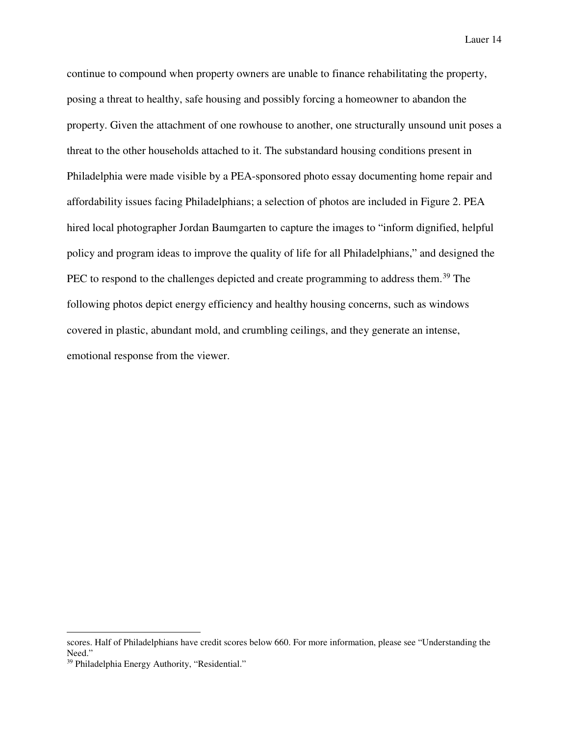continue to compound when property owners are unable to finance rehabilitating the property, posing a threat to healthy, safe housing and possibly forcing a homeowner to abandon the property. Given the attachment of one rowhouse to another, one structurally unsound unit poses a threat to the other households attached to it. The substandard housing conditions present in Philadelphia were made visible by a PEA-sponsored photo essay documenting home repair and affordability issues facing Philadelphians; a selection of photos are included in Figure 2. PEA hired local photographer Jordan Baumgarten to capture the images to "inform dignified, helpful policy and program ideas to improve the quality of life for all Philadelphians," and designed the PEC to respond to the challenges depicted and create programming to address them.<sup>[39](#page-13-0)</sup> The following photos depict energy efficiency and healthy housing concerns, such as windows covered in plastic, abundant mold, and crumbling ceilings, and they generate an intense, emotional response from the viewer.

scores. Half of Philadelphians have credit scores below 660. For more information, please see "Understanding the Need."

<span id="page-13-0"></span><sup>39</sup> Philadelphia Energy Authority, "Residential."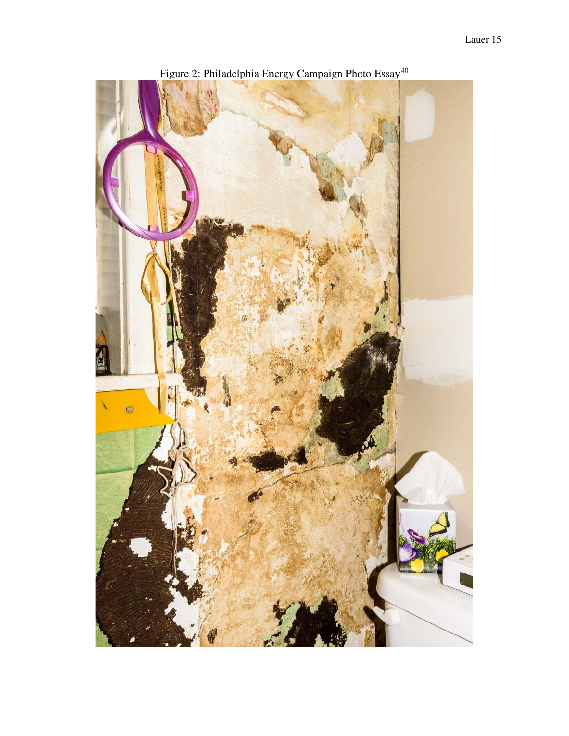<span id="page-14-0"></span>

Figure 2: Philadelphia Energy Campaign Photo Essay<sup>[40](#page-14-0)</sup>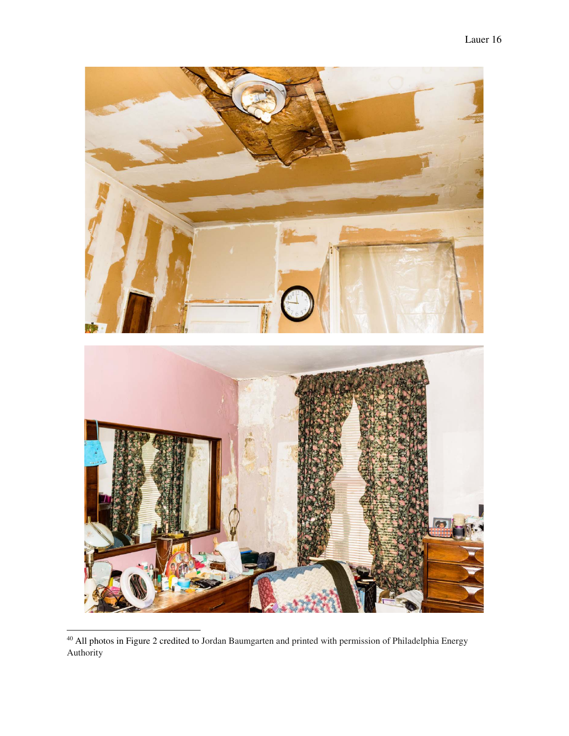



<sup>40</sup> All photos in Figure 2 credited to Jordan Baumgarten and printed with permission of Philadelphia Energy Authority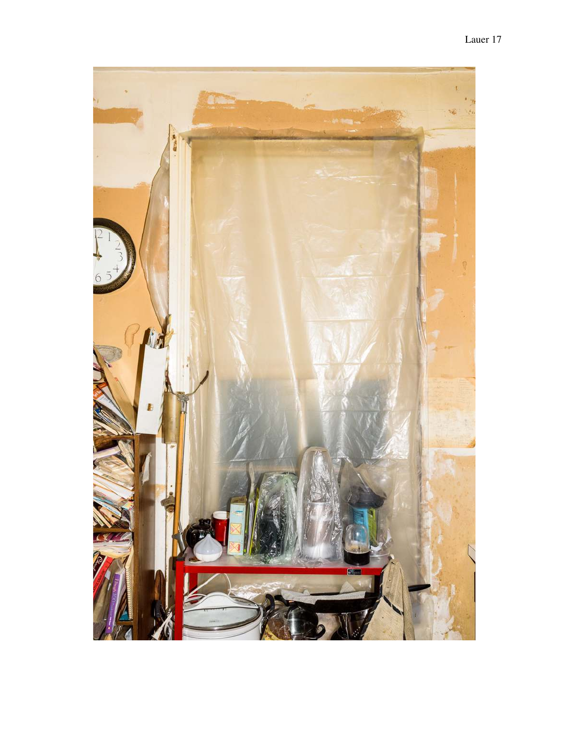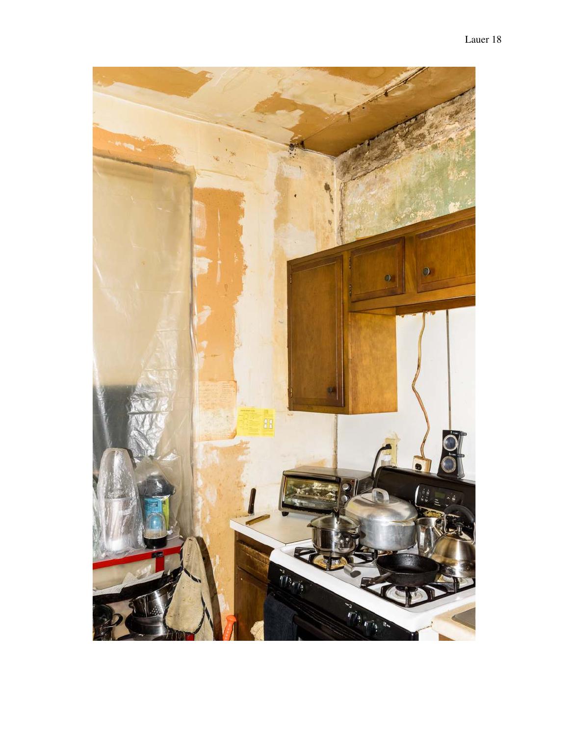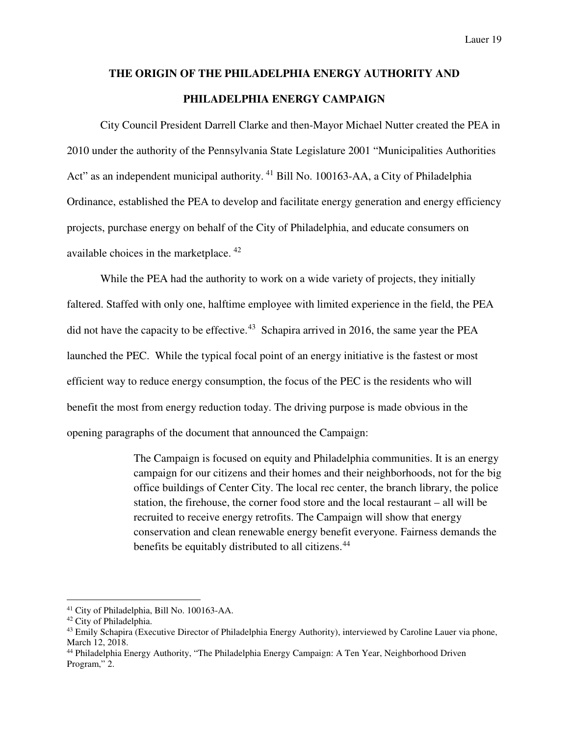# **THE ORIGIN OF THE PHILADELPHIA ENERGY AUTHORITY AND PHILADELPHIA ENERGY CAMPAIGN**

City Council President Darrell Clarke and then-Mayor Michael Nutter created the PEA in 2010 under the authority of the Pennsylvania State Legislature 2001 "Municipalities Authorities Act" as an independent municipal authority. <sup>[41](#page-18-0)</sup> Bill No. 100163-AA, a City of Philadelphia Ordinance, established the PEA to develop and facilitate energy generation and energy efficiency projects, purchase energy on behalf of the City of Philadelphia, and educate consumers on available choices in the marketplace. <sup>[42](#page-18-1)</sup>

While the PEA had the authority to work on a wide variety of projects, they initially faltered. Staffed with only one, halftime employee with limited experience in the field, the PEA did not have the capacity to be effective.<sup>[43](#page-18-2)</sup> Schapira arrived in 2016, the same year the PEA launched the PEC. While the typical focal point of an energy initiative is the fastest or most efficient way to reduce energy consumption, the focus of the PEC is the residents who will benefit the most from energy reduction today. The driving purpose is made obvious in the opening paragraphs of the document that announced the Campaign:

> The Campaign is focused on equity and Philadelphia communities. It is an energy campaign for our citizens and their homes and their neighborhoods, not for the big office buildings of Center City. The local rec center, the branch library, the police station, the firehouse, the corner food store and the local restaurant – all will be recruited to receive energy retrofits. The Campaign will show that energy conservation and clean renewable energy benefit everyone. Fairness demands the benefits be equitably distributed to all citizens.<sup>[44](#page-18-3)</sup>

l

<span id="page-18-0"></span><sup>41</sup> City of Philadelphia, Bill No. 100163-AA.

<span id="page-18-1"></span><sup>42</sup> City of Philadelphia.

<span id="page-18-2"></span><sup>&</sup>lt;sup>43</sup> Emily Schapira (Executive Director of Philadelphia Energy Authority), interviewed by Caroline Lauer via phone, March 12, 2018.

<span id="page-18-3"></span><sup>44</sup> Philadelphia Energy Authority, "The Philadelphia Energy Campaign: A Ten Year, Neighborhood Driven Program," 2.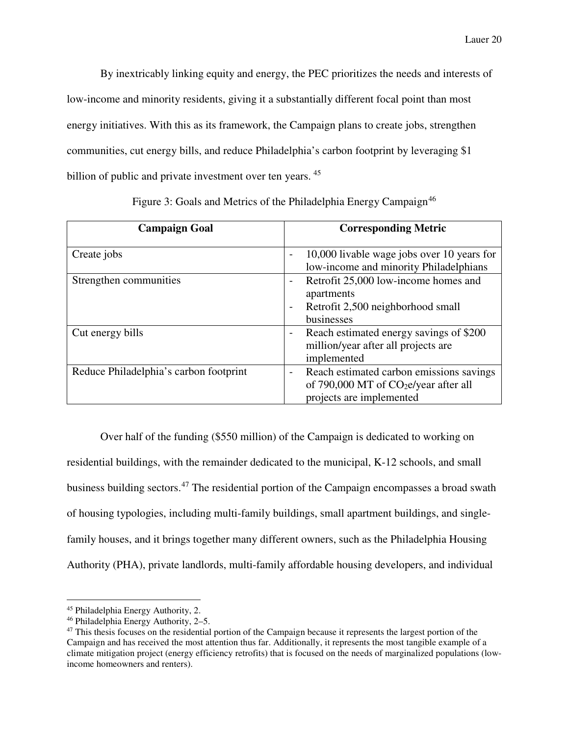By inextricably linking equity and energy, the PEC prioritizes the needs and interests of low-income and minority residents, giving it a substantially different focal point than most energy initiatives. With this as its framework, the Campaign plans to create jobs, strengthen communities, cut energy bills, and reduce Philadelphia's carbon footprint by leveraging \$1 billion of public and private investment over ten years. <sup>[45](#page-19-0)</sup>

| <b>Campaign Goal</b>                   | <b>Corresponding Metric</b>                                                                                                               |
|----------------------------------------|-------------------------------------------------------------------------------------------------------------------------------------------|
| Create jobs                            | 10,000 livable wage jobs over 10 years for<br>low-income and minority Philadelphians                                                      |
| Strengthen communities                 | Retrofit 25,000 low-income homes and<br>$\overline{a}$<br>apartments<br>Retrofit 2,500 neighborhood small<br>$\overline{a}$<br>businesses |
| Cut energy bills                       | Reach estimated energy savings of \$200<br>$\qquad \qquad \blacksquare$<br>million/year after all projects are<br>implemented             |
| Reduce Philadelphia's carbon footprint | Reach estimated carbon emissions savings<br>-<br>of 790,000 MT of $CO2e/year$ after all<br>projects are implemented                       |

Figure 3: Goals and Metrics of the Philadelphia Energy Campaign<sup>[46](#page-19-1)</sup>

Over half of the funding (\$550 million) of the Campaign is dedicated to working on residential buildings, with the remainder dedicated to the municipal, K-12 schools, and small business building sectors.<sup>[47](#page-19-2)</sup> The residential portion of the Campaign encompasses a broad swath of housing typologies, including multi-family buildings, small apartment buildings, and singlefamily houses, and it brings together many different owners, such as the Philadelphia Housing Authority (PHA), private landlords, multi-family affordable housing developers, and individual

<span id="page-19-0"></span><sup>45</sup> Philadelphia Energy Authority, 2.

<span id="page-19-1"></span><sup>46</sup> Philadelphia Energy Authority, 2–5.

<span id="page-19-2"></span><sup>&</sup>lt;sup>47</sup> This thesis focuses on the residential portion of the Campaign because it represents the largest portion of the Campaign and has received the most attention thus far. Additionally, it represents the most tangible example of a climate mitigation project (energy efficiency retrofits) that is focused on the needs of marginalized populations (lowincome homeowners and renters).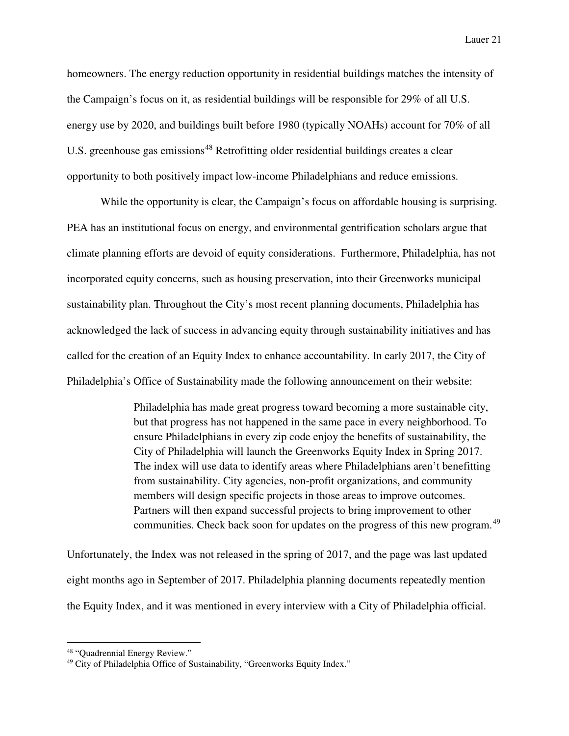homeowners. The energy reduction opportunity in residential buildings matches the intensity of the Campaign's focus on it, as residential buildings will be responsible for 29% of all U.S. energy use by 2020, and buildings built before 1980 (typically NOAHs) account for 70% of all U.S. greenhouse gas emissions<sup>[48](#page-20-0)</sup> Retrofitting older residential buildings creates a clear opportunity to both positively impact low-income Philadelphians and reduce emissions.

 While the opportunity is clear, the Campaign's focus on affordable housing is surprising. PEA has an institutional focus on energy, and environmental gentrification scholars argue that climate planning efforts are devoid of equity considerations. Furthermore, Philadelphia, has not incorporated equity concerns, such as housing preservation, into their Greenworks municipal sustainability plan. Throughout the City's most recent planning documents, Philadelphia has acknowledged the lack of success in advancing equity through sustainability initiatives and has called for the creation of an Equity Index to enhance accountability. In early 2017, the City of Philadelphia's Office of Sustainability made the following announcement on their website:

> Philadelphia has made great progress toward becoming a more sustainable city, but that progress has not happened in the same pace in every neighborhood. To ensure Philadelphians in every zip code enjoy the benefits of sustainability, the City of Philadelphia will launch the Greenworks Equity Index in Spring 2017. The index will use data to identify areas where Philadelphians aren't benefitting from sustainability. City agencies, non-profit organizations, and community members will design specific projects in those areas to improve outcomes. Partners will then expand successful projects to bring improvement to other communities. Check back soon for updates on the progress of this new program.<sup>[49](#page-20-1)</sup>

Unfortunately, the Index was not released in the spring of 2017, and the page was last updated eight months ago in September of 2017. Philadelphia planning documents repeatedly mention the Equity Index, and it was mentioned in every interview with a City of Philadelphia official.

<span id="page-20-0"></span><sup>48</sup> "Quadrennial Energy Review."

<span id="page-20-1"></span><sup>&</sup>lt;sup>49</sup> City of Philadelphia Office of Sustainability, "Greenworks Equity Index."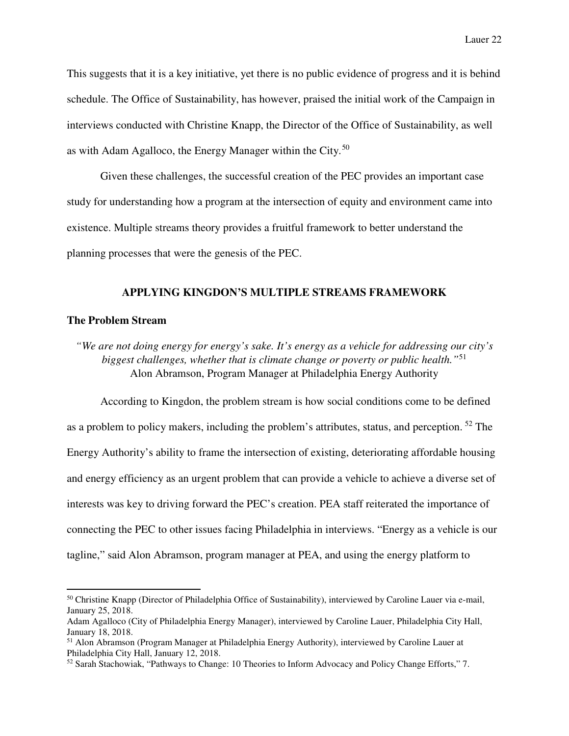This suggests that it is a key initiative, yet there is no public evidence of progress and it is behind schedule. The Office of Sustainability, has however, praised the initial work of the Campaign in interviews conducted with Christine Knapp, the Director of the Office of Sustainability, as well as with Adam Agalloco, the Energy Manager within the City.<sup>[50](#page-21-0)</sup>

Given these challenges, the successful creation of the PEC provides an important case study for understanding how a program at the intersection of equity and environment came into existence. Multiple streams theory provides a fruitful framework to better understand the planning processes that were the genesis of the PEC.

### **APPLYING KINGDON'S MULTIPLE STREAMS FRAMEWORK**

### **The Problem Stream**

 $\overline{a}$ 

*"We are not doing energy for energy's sake. It's energy as a vehicle for addressing our city's biggest challenges, whether that is climate change or poverty or public health."*[51](#page-21-1)  Alon Abramson, Program Manager at Philadelphia Energy Authority

According to Kingdon, the problem stream is how social conditions come to be defined as a problem to policy makers, including the problem's attributes, status, and perception. [52](#page-21-2) The Energy Authority's ability to frame the intersection of existing, deteriorating affordable housing and energy efficiency as an urgent problem that can provide a vehicle to achieve a diverse set of interests was key to driving forward the PEC's creation. PEA staff reiterated the importance of connecting the PEC to other issues facing Philadelphia in interviews. "Energy as a vehicle is our tagline," said Alon Abramson, program manager at PEA, and using the energy platform to

<span id="page-21-0"></span><sup>50</sup> Christine Knapp (Director of Philadelphia Office of Sustainability), interviewed by Caroline Lauer via e-mail, January 25, 2018.

Adam Agalloco (City of Philadelphia Energy Manager), interviewed by Caroline Lauer, Philadelphia City Hall, January 18, 2018.

<span id="page-21-1"></span><sup>51</sup> Alon Abramson (Program Manager at Philadelphia Energy Authority), interviewed by Caroline Lauer at Philadelphia City Hall, January 12, 2018.

<span id="page-21-2"></span><sup>52</sup> Sarah Stachowiak, "Pathways to Change: 10 Theories to Inform Advocacy and Policy Change Efforts," 7.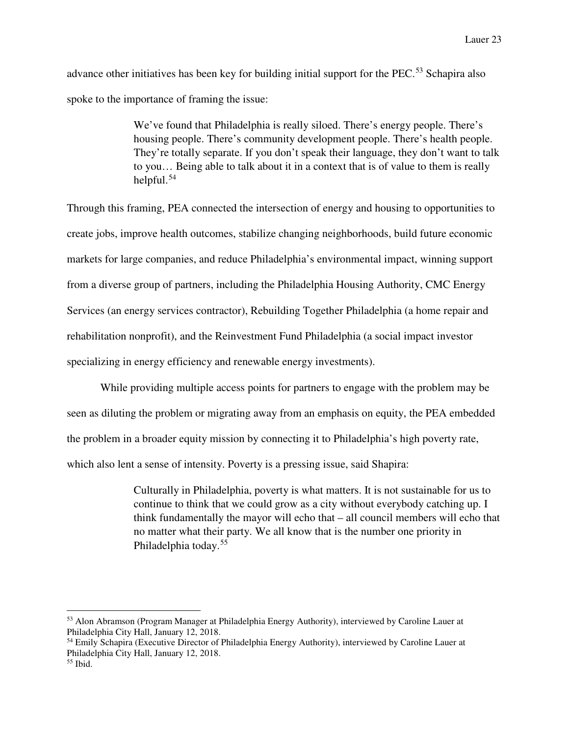advance other initiatives has been key for building initial support for the PEC.<sup>[53](#page-22-0)</sup> Schapira also spoke to the importance of framing the issue:

> We've found that Philadelphia is really siloed. There's energy people. There's housing people. There's community development people. There's health people. They're totally separate. If you don't speak their language, they don't want to talk to you… Being able to talk about it in a context that is of value to them is really helpful.[54](#page-22-1)

Through this framing, PEA connected the intersection of energy and housing to opportunities to create jobs, improve health outcomes, stabilize changing neighborhoods, build future economic markets for large companies, and reduce Philadelphia's environmental impact, winning support from a diverse group of partners, including the Philadelphia Housing Authority, CMC Energy Services (an energy services contractor), Rebuilding Together Philadelphia (a home repair and rehabilitation nonprofit), and the Reinvestment Fund Philadelphia (a social impact investor specializing in energy efficiency and renewable energy investments).

 While providing multiple access points for partners to engage with the problem may be seen as diluting the problem or migrating away from an emphasis on equity, the PEA embedded the problem in a broader equity mission by connecting it to Philadelphia's high poverty rate, which also lent a sense of intensity. Poverty is a pressing issue, said Shapira:

> Culturally in Philadelphia, poverty is what matters. It is not sustainable for us to continue to think that we could grow as a city without everybody catching up. I think fundamentally the mayor will echo that – all council members will echo that no matter what their party. We all know that is the number one priority in Philadelphia today.[55](#page-22-2)

<span id="page-22-0"></span><sup>53</sup> Alon Abramson (Program Manager at Philadelphia Energy Authority), interviewed by Caroline Lauer at Philadelphia City Hall, January 12, 2018.

<span id="page-22-1"></span><sup>&</sup>lt;sup>54</sup> Emily Schapira (Executive Director of Philadelphia Energy Authority), interviewed by Caroline Lauer at Philadelphia City Hall, January 12, 2018.

<span id="page-22-2"></span><sup>55</sup> Ibid.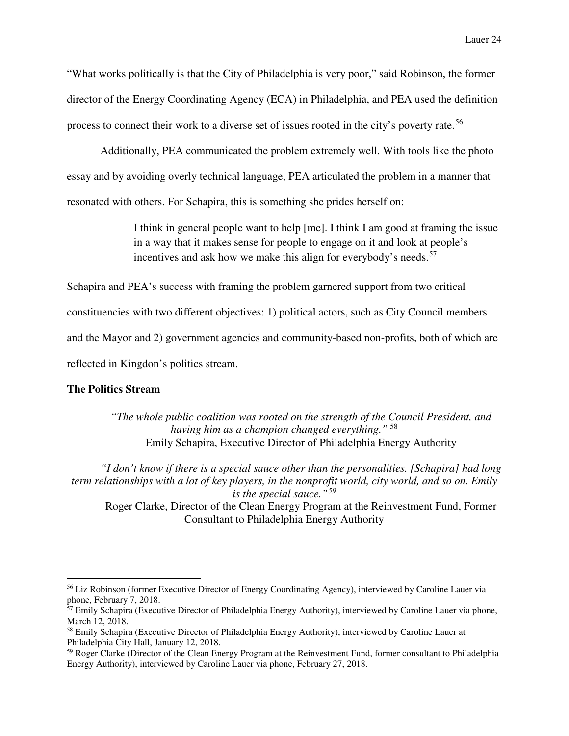"What works politically is that the City of Philadelphia is very poor," said Robinson, the former director of the Energy Coordinating Agency (ECA) in Philadelphia, and PEA used the definition process to connect their work to a diverse set of issues rooted in the city's poverty rate.<sup>[56](#page-23-0)</sup>

Additionally, PEA communicated the problem extremely well. With tools like the photo essay and by avoiding overly technical language, PEA articulated the problem in a manner that resonated with others. For Schapira, this is something she prides herself on:

> I think in general people want to help [me]. I think I am good at framing the issue in a way that it makes sense for people to engage on it and look at people's incentives and ask how we make this align for everybody's needs.<sup>[57](#page-23-1)</sup>

Schapira and PEA's success with framing the problem garnered support from two critical

constituencies with two different objectives: 1) political actors, such as City Council members

and the Mayor and 2) government agencies and community-based non-profits, both of which are

reflected in Kingdon's politics stream.

### **The Politics Stream**

l

*"The whole public coalition was rooted on the strength of the Council President, and having him as a champion changed everything."* [58](#page-23-2) Emily Schapira, Executive Director of Philadelphia Energy Authority

*"I don't know if there is a special sauce other than the personalities. [Schapira] had long term relationships with a lot of key players, in the nonprofit world, city world, and so on. Emily is the special sauce."[59](#page-23-3)*

Roger Clarke, Director of the Clean Energy Program at the Reinvestment Fund, Former Consultant to Philadelphia Energy Authority

<span id="page-23-0"></span><sup>56</sup> Liz Robinson (former Executive Director of Energy Coordinating Agency), interviewed by Caroline Lauer via phone, February 7, 2018.

<span id="page-23-1"></span><sup>&</sup>lt;sup>57</sup> Emily Schapira (Executive Director of Philadelphia Energy Authority), interviewed by Caroline Lauer via phone, March 12, 2018.

<span id="page-23-2"></span><sup>58</sup> Emily Schapira (Executive Director of Philadelphia Energy Authority), interviewed by Caroline Lauer at Philadelphia City Hall, January 12, 2018.

<span id="page-23-3"></span><sup>&</sup>lt;sup>59</sup> Roger Clarke (Director of the Clean Energy Program at the Reinvestment Fund, former consultant to Philadelphia Energy Authority), interviewed by Caroline Lauer via phone, February 27, 2018.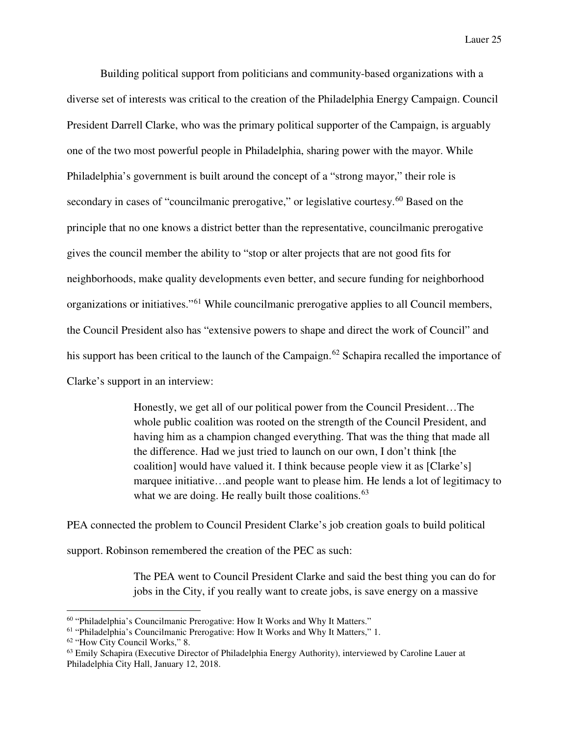Building political support from politicians and community-based organizations with a diverse set of interests was critical to the creation of the Philadelphia Energy Campaign. Council President Darrell Clarke, who was the primary political supporter of the Campaign, is arguably one of the two most powerful people in Philadelphia, sharing power with the mayor. While Philadelphia's government is built around the concept of a "strong mayor," their role is secondary in cases of "councilmanic prerogative," or legislative courtesy.<sup>[60](#page-24-0)</sup> Based on the principle that no one knows a district better than the representative, councilmanic prerogative gives the council member the ability to "stop or alter projects that are not good fits for neighborhoods, make quality developments even better, and secure funding for neighborhood organizations or initiatives."[61](#page-24-1) While councilmanic prerogative applies to all Council members, the Council President also has "extensive powers to shape and direct the work of Council" and his support has been critical to the launch of the Campaign.<sup>[62](#page-24-2)</sup> Schapira recalled the importance of Clarke's support in an interview:

> Honestly, we get all of our political power from the Council President…The whole public coalition was rooted on the strength of the Council President, and having him as a champion changed everything. That was the thing that made all the difference. Had we just tried to launch on our own, I don't think [the coalition] would have valued it. I think because people view it as [Clarke's] marquee initiative…and people want to please him. He lends a lot of legitimacy to what we are doing. He really built those coalitions.<sup>[63](#page-24-3)</sup>

PEA connected the problem to Council President Clarke's job creation goals to build political support. Robinson remembered the creation of the PEC as such:

> The PEA went to Council President Clarke and said the best thing you can do for jobs in the City, if you really want to create jobs, is save energy on a massive

<span id="page-24-0"></span><sup>60</sup> "Philadelphia's Councilmanic Prerogative: How It Works and Why It Matters."

<span id="page-24-1"></span><sup>61</sup> "Philadelphia's Councilmanic Prerogative: How It Works and Why It Matters," 1.

<span id="page-24-2"></span><sup>62</sup> "How City Council Works," 8.

<span id="page-24-3"></span><sup>&</sup>lt;sup>63</sup> Emily Schapira (Executive Director of Philadelphia Energy Authority), interviewed by Caroline Lauer at Philadelphia City Hall, January 12, 2018.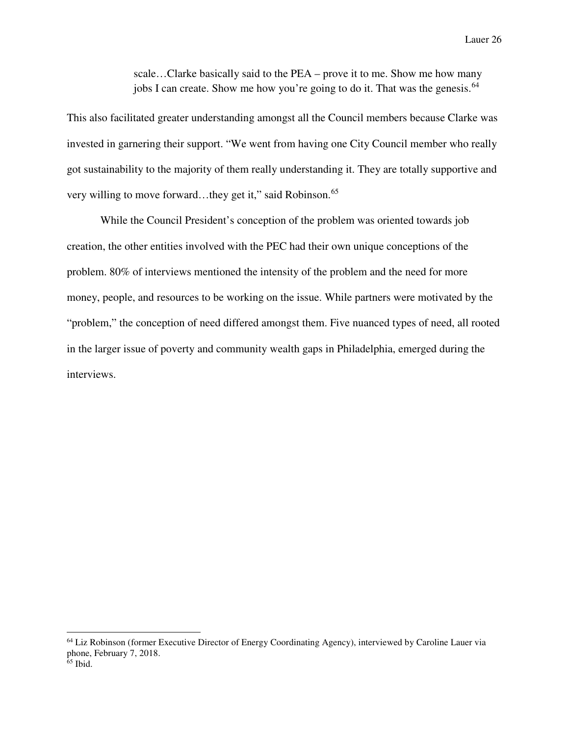scale…Clarke basically said to the PEA – prove it to me. Show me how many jobs I can create. Show me how you're going to do it. That was the genesis.<sup>[64](#page-25-0)</sup>

This also facilitated greater understanding amongst all the Council members because Clarke was invested in garnering their support. "We went from having one City Council member who really got sustainability to the majority of them really understanding it. They are totally supportive and very willing to move forward...they get it," said Robinson.<sup>[65](#page-25-1)</sup>

While the Council President's conception of the problem was oriented towards job creation, the other entities involved with the PEC had their own unique conceptions of the problem. 80% of interviews mentioned the intensity of the problem and the need for more money, people, and resources to be working on the issue. While partners were motivated by the "problem," the conception of need differed amongst them. Five nuanced types of need, all rooted in the larger issue of poverty and community wealth gaps in Philadelphia, emerged during the interviews.

<span id="page-25-1"></span><span id="page-25-0"></span><sup>64</sup> Liz Robinson (former Executive Director of Energy Coordinating Agency), interviewed by Caroline Lauer via phone, February 7, 2018. <sup>65</sup> Ibid.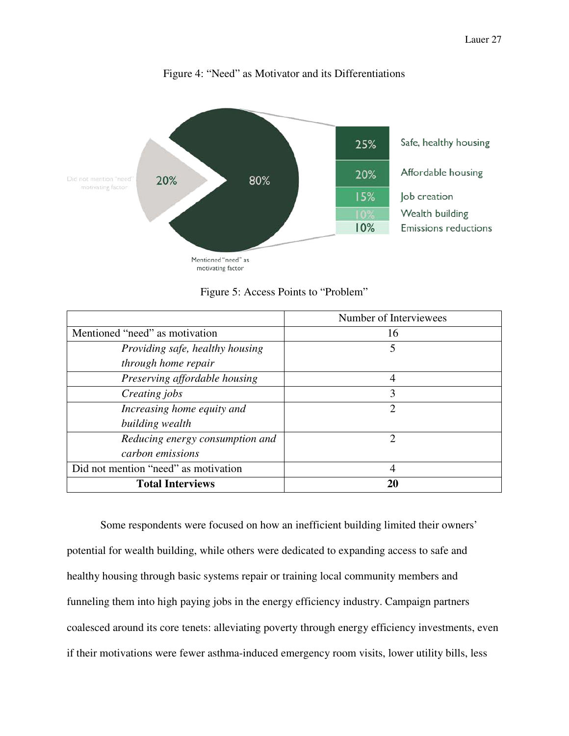

Figure 4: "Need" as Motivator and its Differentiations



|                                      | Number of Interviewees      |
|--------------------------------------|-----------------------------|
| Mentioned "need" as motivation       | 16                          |
| Providing safe, healthy housing      | 5                           |
| through home repair                  |                             |
| Preserving affordable housing        | 4                           |
| Creating jobs                        | 3                           |
| Increasing home equity and           | $\mathcal{D}_{\mathcal{A}}$ |
| building wealth                      |                             |
| Reducing energy consumption and      | 2                           |
| carbon emissions                     |                             |
| Did not mention "need" as motivation |                             |
| <b>Total Interviews</b>              | 20                          |

Some respondents were focused on how an inefficient building limited their owners' potential for wealth building, while others were dedicated to expanding access to safe and healthy housing through basic systems repair or training local community members and funneling them into high paying jobs in the energy efficiency industry. Campaign partners coalesced around its core tenets: alleviating poverty through energy efficiency investments, even if their motivations were fewer asthma-induced emergency room visits, lower utility bills, less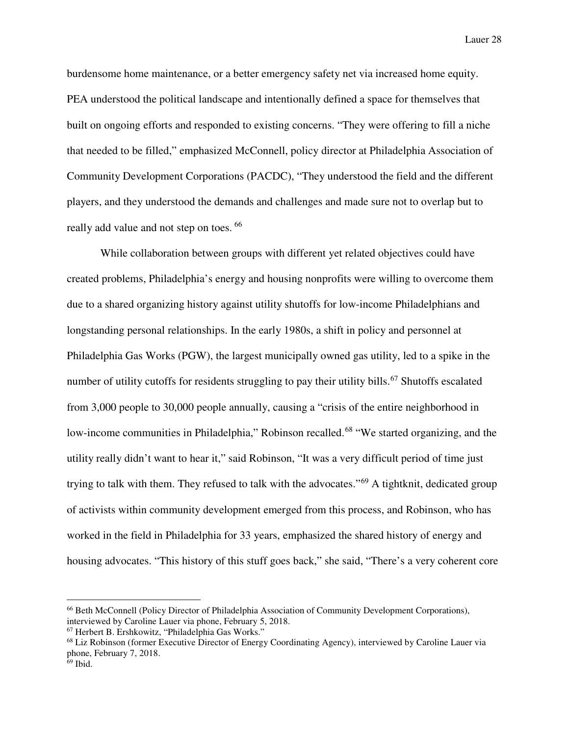burdensome home maintenance, or a better emergency safety net via increased home equity. PEA understood the political landscape and intentionally defined a space for themselves that built on ongoing efforts and responded to existing concerns. "They were offering to fill a niche that needed to be filled," emphasized McConnell, policy director at Philadelphia Association of Community Development Corporations (PACDC), "They understood the field and the different players, and they understood the demands and challenges and made sure not to overlap but to really add value and not step on toes. [66](#page-27-0)

 While collaboration between groups with different yet related objectives could have created problems, Philadelphia's energy and housing nonprofits were willing to overcome them due to a shared organizing history against utility shutoffs for low-income Philadelphians and longstanding personal relationships. In the early 1980s, a shift in policy and personnel at Philadelphia Gas Works (PGW), the largest municipally owned gas utility, led to a spike in the number of utility cutoffs for residents struggling to pay their utility bills.<sup>[67](#page-27-1)</sup> Shutoffs escalated from 3,000 people to 30,000 people annually, causing a "crisis of the entire neighborhood in low-income communities in Philadelphia," Robinson recalled.<sup>[68](#page-27-2)</sup> "We started organizing, and the utility really didn't want to hear it," said Robinson, "It was a very difficult period of time just trying to talk with them. They refused to talk with the advocates."<sup>[69](#page-27-3)</sup> A tightknit, dedicated group of activists within community development emerged from this process, and Robinson, who has worked in the field in Philadelphia for 33 years, emphasized the shared history of energy and housing advocates. "This history of this stuff goes back," she said, "There's a very coherent core

<span id="page-27-0"></span><sup>66</sup> Beth McConnell (Policy Director of Philadelphia Association of Community Development Corporations), interviewed by Caroline Lauer via phone, February 5, 2018.

<span id="page-27-1"></span><sup>67</sup> Herbert B. Ershkowitz, "Philadelphia Gas Works."

<span id="page-27-2"></span><sup>68</sup> Liz Robinson (former Executive Director of Energy Coordinating Agency), interviewed by Caroline Lauer via phone, February 7, 2018.

<span id="page-27-3"></span><sup>69</sup> Ibid.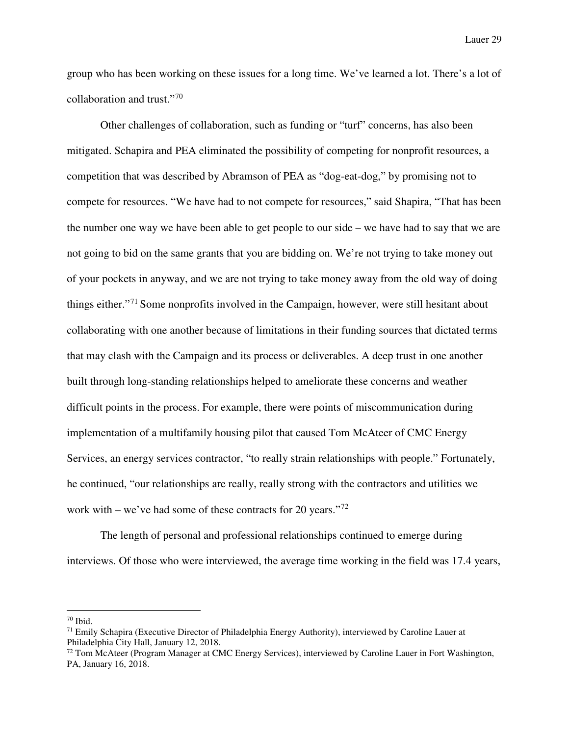group who has been working on these issues for a long time. We've learned a lot. There's a lot of collaboration and trust."[70](#page-28-0)

Other challenges of collaboration, such as funding or "turf" concerns, has also been mitigated. Schapira and PEA eliminated the possibility of competing for nonprofit resources, a competition that was described by Abramson of PEA as "dog-eat-dog," by promising not to compete for resources. "We have had to not compete for resources," said Shapira, "That has been the number one way we have been able to get people to our side – we have had to say that we are not going to bid on the same grants that you are bidding on. We're not trying to take money out of your pockets in anyway, and we are not trying to take money away from the old way of doing things either."[71](#page-28-1) Some nonprofits involved in the Campaign, however, were still hesitant about collaborating with one another because of limitations in their funding sources that dictated terms that may clash with the Campaign and its process or deliverables. A deep trust in one another built through long-standing relationships helped to ameliorate these concerns and weather difficult points in the process. For example, there were points of miscommunication during implementation of a multifamily housing pilot that caused Tom McAteer of CMC Energy Services, an energy services contractor, "to really strain relationships with people." Fortunately, he continued, "our relationships are really, really strong with the contractors and utilities we work with – we've had some of these contracts for 20 years."<sup>[72](#page-28-2)</sup>

The length of personal and professional relationships continued to emerge during interviews. Of those who were interviewed, the average time working in the field was 17.4 years,

<span id="page-28-0"></span> $70$  Ibid.

<span id="page-28-1"></span><sup>71</sup> Emily Schapira (Executive Director of Philadelphia Energy Authority), interviewed by Caroline Lauer at Philadelphia City Hall, January 12, 2018.

<span id="page-28-2"></span> $72$  Tom McAteer (Program Manager at CMC Energy Services), interviewed by Caroline Lauer in Fort Washington, PA, January 16, 2018.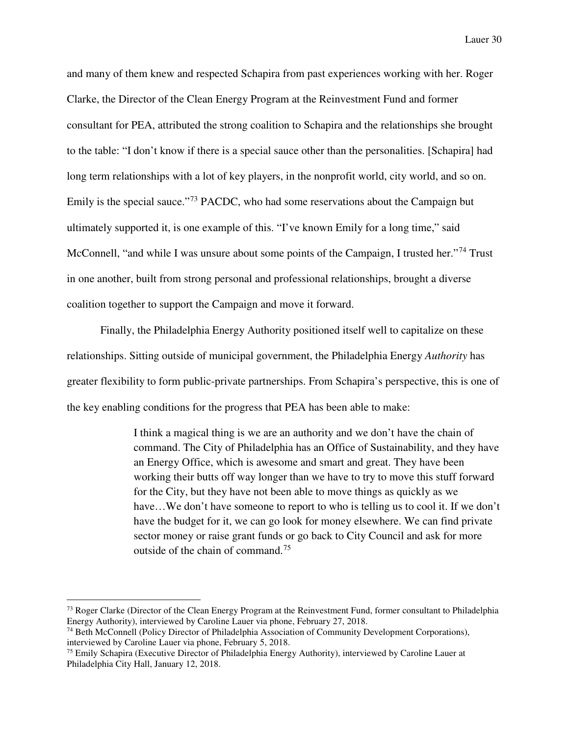and many of them knew and respected Schapira from past experiences working with her. Roger Clarke, the Director of the Clean Energy Program at the Reinvestment Fund and former consultant for PEA, attributed the strong coalition to Schapira and the relationships she brought to the table: "I don't know if there is a special sauce other than the personalities. [Schapira] had long term relationships with a lot of key players, in the nonprofit world, city world, and so on. Emily is the special sauce."[73](#page-29-0) PACDC, who had some reservations about the Campaign but ultimately supported it, is one example of this. "I've known Emily for a long time," said McConnell, "and while I was unsure about some points of the Campaign, I trusted her."<sup>[74](#page-29-1)</sup> Trust in one another, built from strong personal and professional relationships, brought a diverse coalition together to support the Campaign and move it forward.

Finally, the Philadelphia Energy Authority positioned itself well to capitalize on these relationships. Sitting outside of municipal government, the Philadelphia Energy *Authority* has greater flexibility to form public-private partnerships. From Schapira's perspective, this is one of the key enabling conditions for the progress that PEA has been able to make:

> I think a magical thing is we are an authority and we don't have the chain of command. The City of Philadelphia has an Office of Sustainability, and they have an Energy Office, which is awesome and smart and great. They have been working their butts off way longer than we have to try to move this stuff forward for the City, but they have not been able to move things as quickly as we have...We don't have someone to report to who is telling us to cool it. If we don't have the budget for it, we can go look for money elsewhere. We can find private sector money or raise grant funds or go back to City Council and ask for more outside of the chain of command.[75](#page-29-2)

l

<span id="page-29-0"></span><sup>&</sup>lt;sup>73</sup> Roger Clarke (Director of the Clean Energy Program at the Reinvestment Fund, former consultant to Philadelphia Energy Authority), interviewed by Caroline Lauer via phone, February 27, 2018.

<span id="page-29-1"></span><sup>74</sup> Beth McConnell (Policy Director of Philadelphia Association of Community Development Corporations), interviewed by Caroline Lauer via phone, February 5, 2018.

<span id="page-29-2"></span><sup>&</sup>lt;sup>75</sup> Emily Schapira (Executive Director of Philadelphia Energy Authority), interviewed by Caroline Lauer at Philadelphia City Hall, January 12, 2018.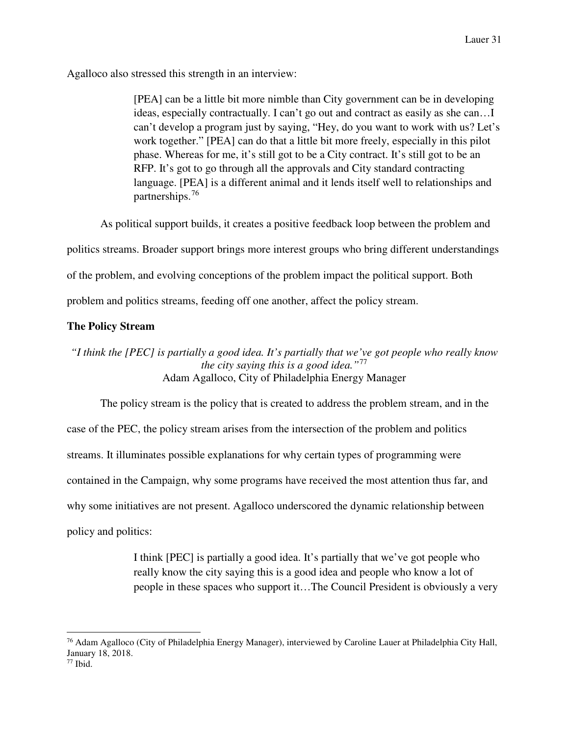Agalloco also stressed this strength in an interview:

[PEA] can be a little bit more nimble than City government can be in developing ideas, especially contractually. I can't go out and contract as easily as she can…I can't develop a program just by saying, "Hey, do you want to work with us? Let's work together." [PEA] can do that a little bit more freely, especially in this pilot phase. Whereas for me, it's still got to be a City contract. It's still got to be an RFP. It's got to go through all the approvals and City standard contracting language. [PEA] is a different animal and it lends itself well to relationships and partnerships.[76](#page-30-0)

As political support builds, it creates a positive feedback loop between the problem and

politics streams. Broader support brings more interest groups who bring different understandings

of the problem, and evolving conceptions of the problem impact the political support. Both

problem and politics streams, feeding off one another, affect the policy stream.

# **The Policy Stream**

*"I think the [PEC] is partially a good idea. It's partially that we've got people who really know the city saying this is a good idea."*[77](#page-30-1) Adam Agalloco, City of Philadelphia Energy Manager

The policy stream is the policy that is created to address the problem stream, and in the case of the PEC, the policy stream arises from the intersection of the problem and politics streams. It illuminates possible explanations for why certain types of programming were contained in the Campaign, why some programs have received the most attention thus far, and why some initiatives are not present. Agalloco underscored the dynamic relationship between policy and politics:

> I think [PEC] is partially a good idea. It's partially that we've got people who really know the city saying this is a good idea and people who know a lot of people in these spaces who support it…The Council President is obviously a very

<span id="page-30-0"></span><sup>76</sup> Adam Agalloco (City of Philadelphia Energy Manager), interviewed by Caroline Lauer at Philadelphia City Hall, January 18, 2018.

<span id="page-30-1"></span> $77$  Ibid.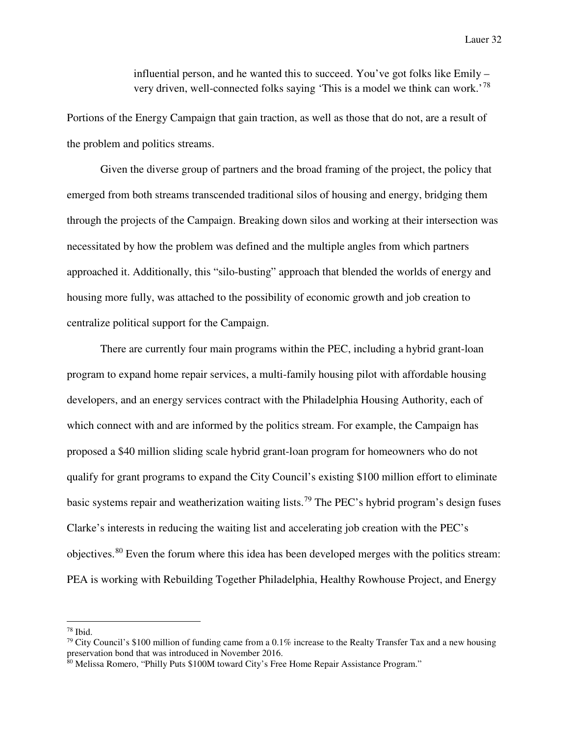influential person, and he wanted this to succeed. You've got folks like Emily – very driven, well-connected folks saying 'This is a model we think can work.'[78](#page-31-0)

Portions of the Energy Campaign that gain traction, as well as those that do not, are a result of the problem and politics streams.

 Given the diverse group of partners and the broad framing of the project, the policy that emerged from both streams transcended traditional silos of housing and energy, bridging them through the projects of the Campaign. Breaking down silos and working at their intersection was necessitated by how the problem was defined and the multiple angles from which partners approached it. Additionally, this "silo-busting" approach that blended the worlds of energy and housing more fully, was attached to the possibility of economic growth and job creation to centralize political support for the Campaign.

 There are currently four main programs within the PEC, including a hybrid grant-loan program to expand home repair services, a multi-family housing pilot with affordable housing developers, and an energy services contract with the Philadelphia Housing Authority, each of which connect with and are informed by the politics stream. For example, the Campaign has proposed a \$40 million sliding scale hybrid grant-loan program for homeowners who do not qualify for grant programs to expand the City Council's existing \$100 million effort to eliminate basic systems repair and weatherization waiting lists.[79](#page-31-1) The PEC's hybrid program's design fuses Clarke's interests in reducing the waiting list and accelerating job creation with the PEC's objectives.[80](#page-31-2) Even the forum where this idea has been developed merges with the politics stream: PEA is working with Rebuilding Together Philadelphia, Healthy Rowhouse Project, and Energy

<span id="page-31-0"></span> $78$  Ibid.

<span id="page-31-1"></span><sup>&</sup>lt;sup>79</sup> City Council's \$100 million of funding came from a 0.1% increase to the Realty Transfer Tax and a new housing preservation bond that was introduced in November 2016.

<span id="page-31-2"></span><sup>80</sup> Melissa Romero, "Philly Puts \$100M toward City's Free Home Repair Assistance Program."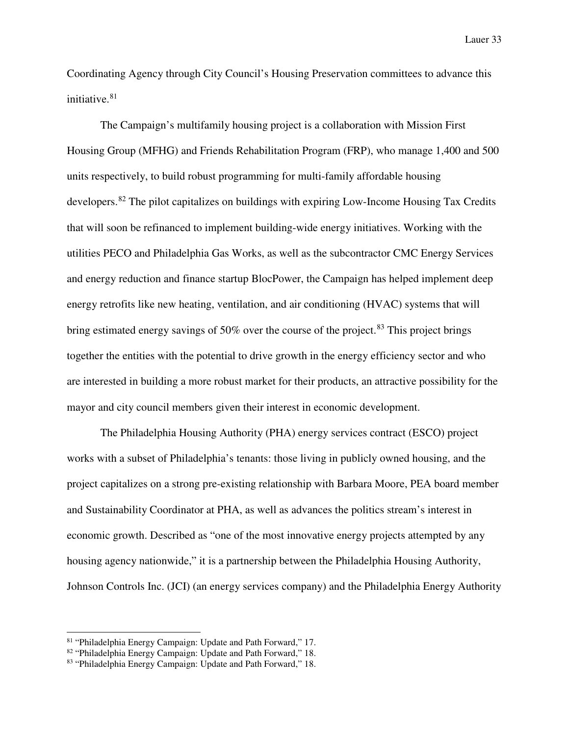Coordinating Agency through City Council's Housing Preservation committees to advance this initiative.<sup>[81](#page-32-0)</sup>

The Campaign's multifamily housing project is a collaboration with Mission First Housing Group (MFHG) and Friends Rehabilitation Program (FRP), who manage 1,400 and 500 units respectively, to build robust programming for multi-family affordable housing developers.[82](#page-32-1) The pilot capitalizes on buildings with expiring Low-Income Housing Tax Credits that will soon be refinanced to implement building-wide energy initiatives. Working with the utilities PECO and Philadelphia Gas Works, as well as the subcontractor CMC Energy Services and energy reduction and finance startup BlocPower, the Campaign has helped implement deep energy retrofits like new heating, ventilation, and air conditioning (HVAC) systems that will bring estimated energy savings of  $50\%$  over the course of the project.<sup>[83](#page-32-2)</sup> This project brings together the entities with the potential to drive growth in the energy efficiency sector and who are interested in building a more robust market for their products, an attractive possibility for the mayor and city council members given their interest in economic development.

The Philadelphia Housing Authority (PHA) energy services contract (ESCO) project works with a subset of Philadelphia's tenants: those living in publicly owned housing, and the project capitalizes on a strong pre-existing relationship with Barbara Moore, PEA board member and Sustainability Coordinator at PHA, as well as advances the politics stream's interest in economic growth. Described as "one of the most innovative energy projects attempted by any housing agency nationwide," it is a partnership between the Philadelphia Housing Authority, Johnson Controls Inc. (JCI) (an energy services company) and the Philadelphia Energy Authority

<span id="page-32-0"></span><sup>81</sup> "Philadelphia Energy Campaign: Update and Path Forward," 17.

<span id="page-32-1"></span><sup>82 &</sup>quot;Philadelphia Energy Campaign: Update and Path Forward," 18.

<span id="page-32-2"></span><sup>83</sup> "Philadelphia Energy Campaign: Update and Path Forward," 18.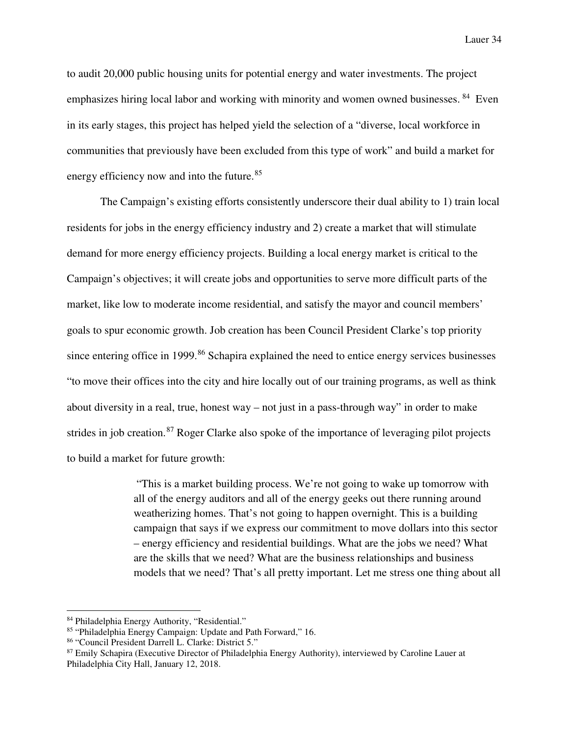to audit 20,000 public housing units for potential energy and water investments. The project emphasizes hiring local labor and working with minority and women owned businesses. <sup>[84](#page-33-0)</sup> Even in its early stages, this project has helped yield the selection of a "diverse, local workforce in communities that previously have been excluded from this type of work" and build a market for energy efficiency now and into the future.<sup>[85](#page-33-1)</sup>

The Campaign's existing efforts consistently underscore their dual ability to 1) train local residents for jobs in the energy efficiency industry and 2) create a market that will stimulate demand for more energy efficiency projects. Building a local energy market is critical to the Campaign's objectives; it will create jobs and opportunities to serve more difficult parts of the market, like low to moderate income residential, and satisfy the mayor and council members' goals to spur economic growth. Job creation has been Council President Clarke's top priority since entering office in 1999.<sup>[86](#page-33-2)</sup> Schapira explained the need to entice energy services businesses "to move their offices into the city and hire locally out of our training programs, as well as think about diversity in a real, true, honest way – not just in a pass-through way" in order to make strides in job creation.<sup>[87](#page-33-3)</sup> Roger Clarke also spoke of the importance of leveraging pilot projects to build a market for future growth:

> "This is a market building process. We're not going to wake up tomorrow with all of the energy auditors and all of the energy geeks out there running around weatherizing homes. That's not going to happen overnight. This is a building campaign that says if we express our commitment to move dollars into this sector – energy efficiency and residential buildings. What are the jobs we need? What are the skills that we need? What are the business relationships and business models that we need? That's all pretty important. Let me stress one thing about all

<span id="page-33-0"></span><sup>84</sup> Philadelphia Energy Authority, "Residential."

<span id="page-33-1"></span><sup>85</sup> "Philadelphia Energy Campaign: Update and Path Forward," 16.

<span id="page-33-2"></span><sup>86</sup> "Council President Darrell L. Clarke: District 5."

<span id="page-33-3"></span><sup>&</sup>lt;sup>87</sup> Emily Schapira (Executive Director of Philadelphia Energy Authority), interviewed by Caroline Lauer at Philadelphia City Hall, January 12, 2018.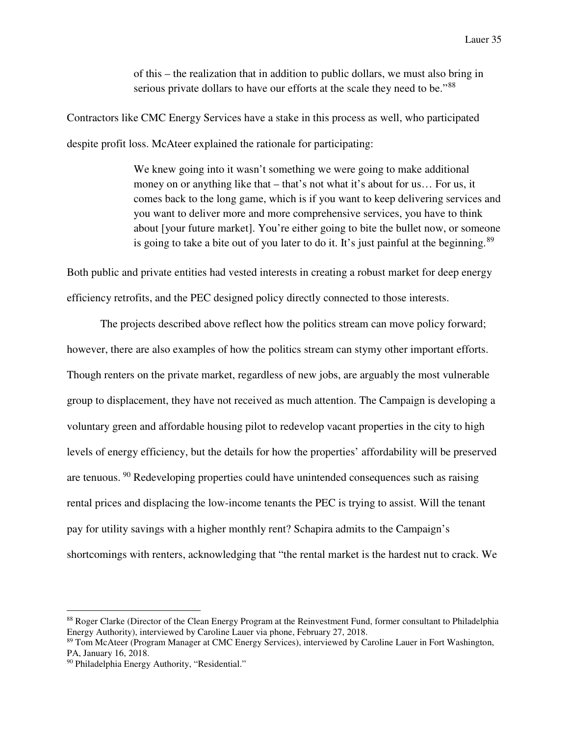of this – the realization that in addition to public dollars, we must also bring in serious private dollars to have our efforts at the scale they need to be."<sup>[88](#page-34-0)</sup>

Contractors like CMC Energy Services have a stake in this process as well, who participated despite profit loss. McAteer explained the rationale for participating:

> We knew going into it wasn't something we were going to make additional money on or anything like that – that's not what it's about for us… For us, it comes back to the long game, which is if you want to keep delivering services and you want to deliver more and more comprehensive services, you have to think about [your future market]. You're either going to bite the bullet now, or someone is going to take a bite out of you later to do it. It's just painful at the beginning.<sup>[89](#page-34-1)</sup>

Both public and private entities had vested interests in creating a robust market for deep energy efficiency retrofits, and the PEC designed policy directly connected to those interests.

The projects described above reflect how the politics stream can move policy forward; however, there are also examples of how the politics stream can stymy other important efforts. Though renters on the private market, regardless of new jobs, are arguably the most vulnerable group to displacement, they have not received as much attention. The Campaign is developing a voluntary green and affordable housing pilot to redevelop vacant properties in the city to high levels of energy efficiency, but the details for how the properties' affordability will be preserved are tenuous. [90](#page-34-2) Redeveloping properties could have unintended consequences such as raising rental prices and displacing the low-income tenants the PEC is trying to assist. Will the tenant pay for utility savings with a higher monthly rent? Schapira admits to the Campaign's shortcomings with renters, acknowledging that "the rental market is the hardest nut to crack. We

<span id="page-34-0"></span><sup>88</sup> Roger Clarke (Director of the Clean Energy Program at the Reinvestment Fund, former consultant to Philadelphia Energy Authority), interviewed by Caroline Lauer via phone, February 27, 2018.

<span id="page-34-1"></span><sup>89</sup> Tom McAteer (Program Manager at CMC Energy Services), interviewed by Caroline Lauer in Fort Washington, PA, January 16, 2018.

<span id="page-34-2"></span><sup>90</sup> Philadelphia Energy Authority, "Residential."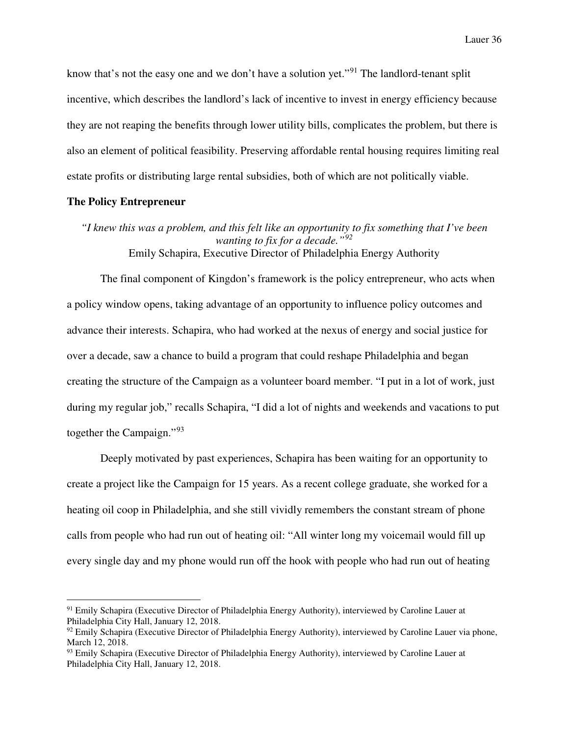know that's not the easy one and we don't have a solution yet."<sup>[91](#page-35-0)</sup> The landlord-tenant split incentive, which describes the landlord's lack of incentive to invest in energy efficiency because they are not reaping the benefits through lower utility bills, complicates the problem, but there is also an element of political feasibility. Preserving affordable rental housing requires limiting real estate profits or distributing large rental subsidies, both of which are not politically viable.

### **The Policy Entrepreneur**

 $\overline{a}$ 

*"I knew this was a problem, and this felt like an opportunity to fix something that I've been wanting to fix for a decade."[92](#page-35-1)* Emily Schapira, Executive Director of Philadelphia Energy Authority

 The final component of Kingdon's framework is the policy entrepreneur, who acts when a policy window opens, taking advantage of an opportunity to influence policy outcomes and advance their interests. Schapira, who had worked at the nexus of energy and social justice for over a decade, saw a chance to build a program that could reshape Philadelphia and began creating the structure of the Campaign as a volunteer board member. "I put in a lot of work, just during my regular job," recalls Schapira, "I did a lot of nights and weekends and vacations to put together the Campaign."[93](#page-35-2)

Deeply motivated by past experiences, Schapira has been waiting for an opportunity to create a project like the Campaign for 15 years. As a recent college graduate, she worked for a heating oil coop in Philadelphia, and she still vividly remembers the constant stream of phone calls from people who had run out of heating oil: "All winter long my voicemail would fill up every single day and my phone would run off the hook with people who had run out of heating

<span id="page-35-0"></span><sup>&</sup>lt;sup>91</sup> Emily Schapira (Executive Director of Philadelphia Energy Authority), interviewed by Caroline Lauer at Philadelphia City Hall, January 12, 2018.

<span id="page-35-1"></span> $92$  Emily Schapira (Executive Director of Philadelphia Energy Authority), interviewed by Caroline Lauer via phone, March 12, 2018.

<span id="page-35-2"></span><sup>&</sup>lt;sup>93</sup> Emily Schapira (Executive Director of Philadelphia Energy Authority), interviewed by Caroline Lauer at Philadelphia City Hall, January 12, 2018.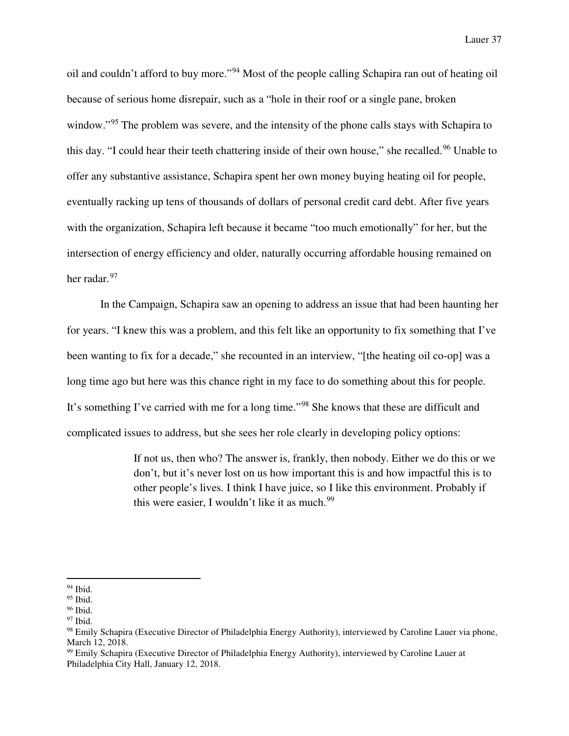oil and couldn't afford to buy more."[94](#page-36-0) Most of the people calling Schapira ran out of heating oil because of serious home disrepair, such as a "hole in their roof or a single pane, broken window."<sup>[95](#page-36-1)</sup> The problem was severe, and the intensity of the phone calls stays with Schapira to this day. "I could hear their teeth chattering inside of their own house," she recalled.<sup>[96](#page-36-2)</sup> Unable to offer any substantive assistance, Schapira spent her own money buying heating oil for people, eventually racking up tens of thousands of dollars of personal credit card debt. After five years with the organization, Schapira left because it became "too much emotionally" for her, but the intersection of energy efficiency and older, naturally occurring affordable housing remained on her radar. [97](#page-36-3)

In the Campaign, Schapira saw an opening to address an issue that had been haunting her for years. "I knew this was a problem, and this felt like an opportunity to fix something that I've been wanting to fix for a decade," she recounted in an interview, "[the heating oil co-op] was a long time ago but here was this chance right in my face to do something about this for people. It's something I've carried with me for a long time."<sup>[98](#page-36-4)</sup> She knows that these are difficult and complicated issues to address, but she sees her role clearly in developing policy options:

> If not us, then who? The answer is, frankly, then nobody. Either we do this or we don't, but it's never lost on us how important this is and how impactful this is to other people's lives. I think I have juice, so I like this environment. Probably if this were easier. I wouldn't like it as much. $99$

<span id="page-36-0"></span> $94$  Ibid.

<span id="page-36-1"></span> $95$  Ibid.

<span id="page-36-2"></span><sup>96</sup> Ibid.

<span id="page-36-3"></span> $97$  Ibid.

<span id="page-36-4"></span><sup>98</sup> Emily Schapira (Executive Director of Philadelphia Energy Authority), interviewed by Caroline Lauer via phone, March 12, 2018.

<span id="page-36-5"></span><sup>99</sup> Emily Schapira (Executive Director of Philadelphia Energy Authority), interviewed by Caroline Lauer at Philadelphia City Hall, January 12, 2018.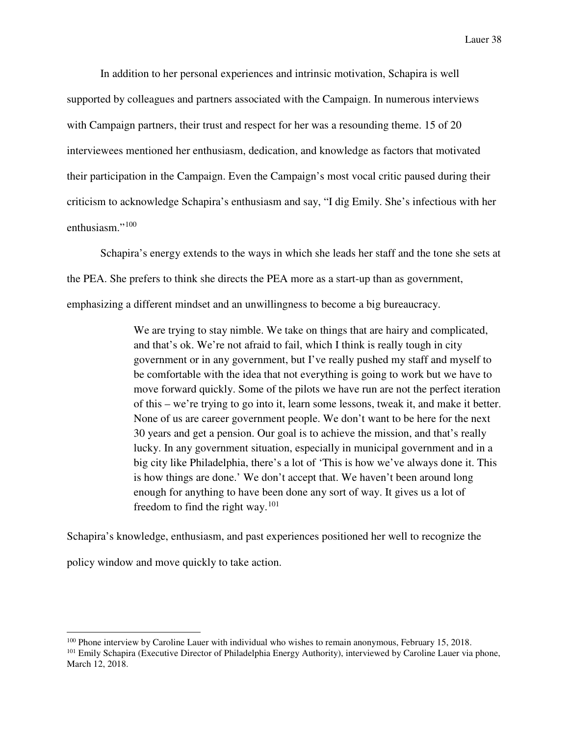In addition to her personal experiences and intrinsic motivation, Schapira is well supported by colleagues and partners associated with the Campaign. In numerous interviews with Campaign partners, their trust and respect for her was a resounding theme. 15 of 20 interviewees mentioned her enthusiasm, dedication, and knowledge as factors that motivated their participation in the Campaign. Even the Campaign's most vocal critic paused during their criticism to acknowledge Schapira's enthusiasm and say, "I dig Emily. She's infectious with her enthusiasm."<sup>[100](#page-37-0)</sup>

Schapira's energy extends to the ways in which she leads her staff and the tone she sets at the PEA. She prefers to think she directs the PEA more as a start-up than as government, emphasizing a different mindset and an unwillingness to become a big bureaucracy.

> We are trying to stay nimble. We take on things that are hairy and complicated, and that's ok. We're not afraid to fail, which I think is really tough in city government or in any government, but I've really pushed my staff and myself to be comfortable with the idea that not everything is going to work but we have to move forward quickly. Some of the pilots we have run are not the perfect iteration of this – we're trying to go into it, learn some lessons, tweak it, and make it better. None of us are career government people. We don't want to be here for the next 30 years and get a pension. Our goal is to achieve the mission, and that's really lucky. In any government situation, especially in municipal government and in a big city like Philadelphia, there's a lot of 'This is how we've always done it. This is how things are done.' We don't accept that. We haven't been around long enough for anything to have been done any sort of way. It gives us a lot of freedom to find the right way. $101$

Schapira's knowledge, enthusiasm, and past experiences positioned her well to recognize the policy window and move quickly to take action.

<span id="page-37-0"></span><sup>100</sup> Phone interview by Caroline Lauer with individual who wishes to remain anonymous, February 15, 2018.

<span id="page-37-1"></span><sup>&</sup>lt;sup>101</sup> Emily Schapira (Executive Director of Philadelphia Energy Authority), interviewed by Caroline Lauer via phone, March 12, 2018.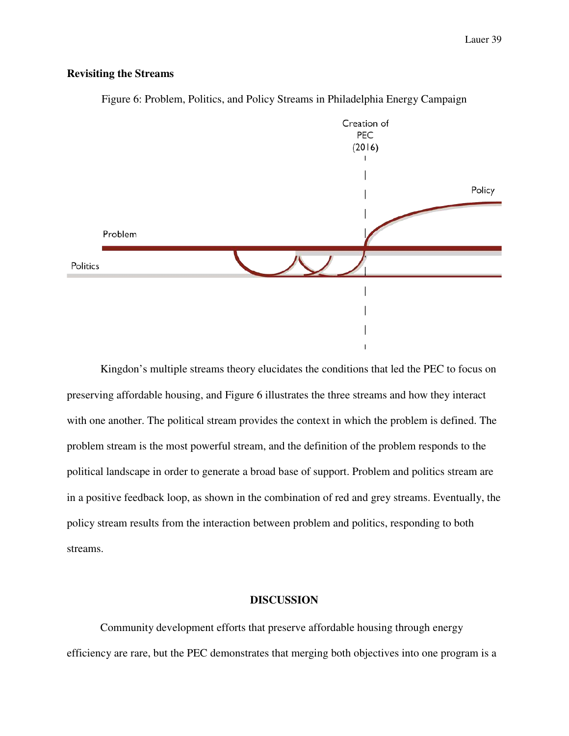### **Revisiting the Streams**



Figure 6: Problem, Politics, and Policy Streams in Philadelphia Energy Campaign

 Kingdon's multiple streams theory elucidates the conditions that led the PEC to focus on preserving affordable housing, and Figure 6 illustrates the three streams and how they interact with one another. The political stream provides the context in which the problem is defined. The problem stream is the most powerful stream, and the definition of the problem responds to the political landscape in order to generate a broad base of support. Problem and politics stream are in a positive feedback loop, as shown in the combination of red and grey streams. Eventually, the policy stream results from the interaction between problem and politics, responding to both streams.

### **DISCUSSION**

 Community development efforts that preserve affordable housing through energy efficiency are rare, but the PEC demonstrates that merging both objectives into one program is a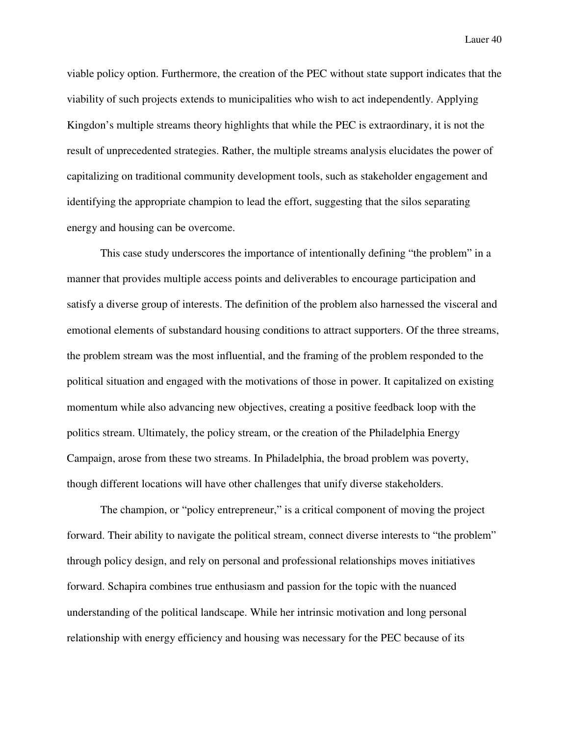viable policy option. Furthermore, the creation of the PEC without state support indicates that the viability of such projects extends to municipalities who wish to act independently. Applying Kingdon's multiple streams theory highlights that while the PEC is extraordinary, it is not the result of unprecedented strategies. Rather, the multiple streams analysis elucidates the power of capitalizing on traditional community development tools, such as stakeholder engagement and identifying the appropriate champion to lead the effort, suggesting that the silos separating energy and housing can be overcome.

This case study underscores the importance of intentionally defining "the problem" in a manner that provides multiple access points and deliverables to encourage participation and satisfy a diverse group of interests. The definition of the problem also harnessed the visceral and emotional elements of substandard housing conditions to attract supporters. Of the three streams, the problem stream was the most influential, and the framing of the problem responded to the political situation and engaged with the motivations of those in power. It capitalized on existing momentum while also advancing new objectives, creating a positive feedback loop with the politics stream. Ultimately, the policy stream, or the creation of the Philadelphia Energy Campaign, arose from these two streams. In Philadelphia, the broad problem was poverty, though different locations will have other challenges that unify diverse stakeholders.

The champion, or "policy entrepreneur," is a critical component of moving the project forward. Their ability to navigate the political stream, connect diverse interests to "the problem" through policy design, and rely on personal and professional relationships moves initiatives forward. Schapira combines true enthusiasm and passion for the topic with the nuanced understanding of the political landscape. While her intrinsic motivation and long personal relationship with energy efficiency and housing was necessary for the PEC because of its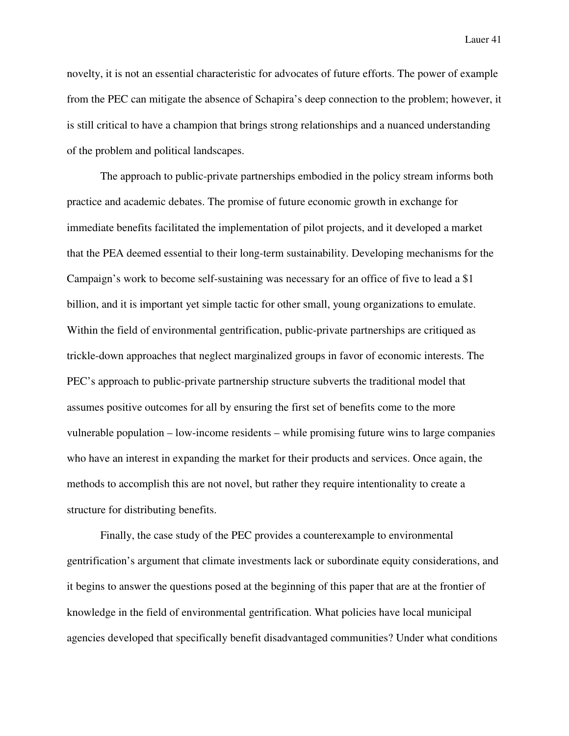novelty, it is not an essential characteristic for advocates of future efforts. The power of example from the PEC can mitigate the absence of Schapira's deep connection to the problem; however, it is still critical to have a champion that brings strong relationships and a nuanced understanding of the problem and political landscapes.

The approach to public-private partnerships embodied in the policy stream informs both practice and academic debates. The promise of future economic growth in exchange for immediate benefits facilitated the implementation of pilot projects, and it developed a market that the PEA deemed essential to their long-term sustainability. Developing mechanisms for the Campaign's work to become self-sustaining was necessary for an office of five to lead a \$1 billion, and it is important yet simple tactic for other small, young organizations to emulate. Within the field of environmental gentrification, public-private partnerships are critiqued as trickle-down approaches that neglect marginalized groups in favor of economic interests. The PEC's approach to public-private partnership structure subverts the traditional model that assumes positive outcomes for all by ensuring the first set of benefits come to the more vulnerable population – low-income residents – while promising future wins to large companies who have an interest in expanding the market for their products and services. Once again, the methods to accomplish this are not novel, but rather they require intentionality to create a structure for distributing benefits.

Finally, the case study of the PEC provides a counterexample to environmental gentrification's argument that climate investments lack or subordinate equity considerations, and it begins to answer the questions posed at the beginning of this paper that are at the frontier of knowledge in the field of environmental gentrification. What policies have local municipal agencies developed that specifically benefit disadvantaged communities? Under what conditions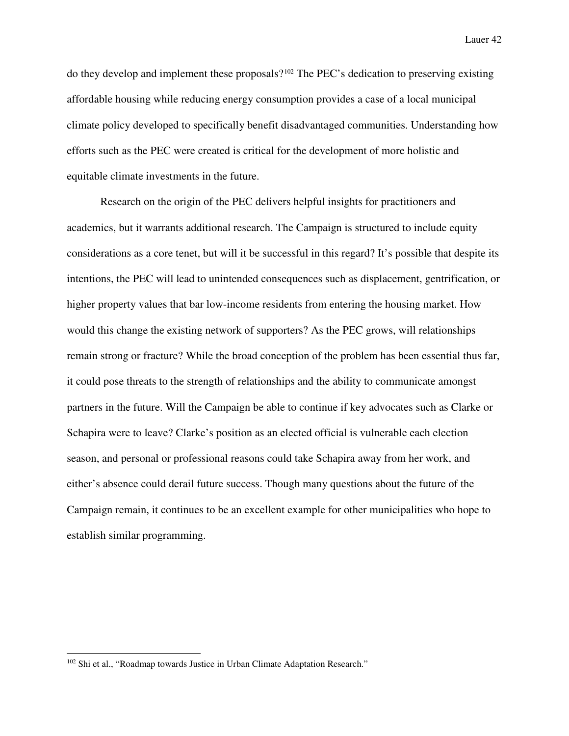do they develop and implement these proposals?[102](#page-41-0) The PEC's dedication to preserving existing affordable housing while reducing energy consumption provides a case of a local municipal climate policy developed to specifically benefit disadvantaged communities. Understanding how efforts such as the PEC were created is critical for the development of more holistic and equitable climate investments in the future.

 Research on the origin of the PEC delivers helpful insights for practitioners and academics, but it warrants additional research. The Campaign is structured to include equity considerations as a core tenet, but will it be successful in this regard? It's possible that despite its intentions, the PEC will lead to unintended consequences such as displacement, gentrification, or higher property values that bar low-income residents from entering the housing market. How would this change the existing network of supporters? As the PEC grows, will relationships remain strong or fracture? While the broad conception of the problem has been essential thus far, it could pose threats to the strength of relationships and the ability to communicate amongst partners in the future. Will the Campaign be able to continue if key advocates such as Clarke or Schapira were to leave? Clarke's position as an elected official is vulnerable each election season, and personal or professional reasons could take Schapira away from her work, and either's absence could derail future success. Though many questions about the future of the Campaign remain, it continues to be an excellent example for other municipalities who hope to establish similar programming.

<span id="page-41-0"></span><sup>102</sup> Shi et al., "Roadmap towards Justice in Urban Climate Adaptation Research."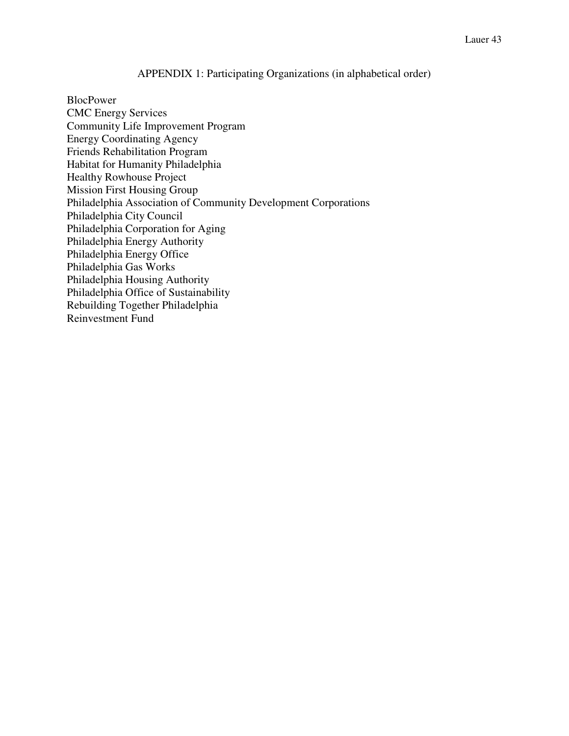# APPENDIX 1: Participating Organizations (in alphabetical order)

BlocPower CMC Energy Services Community Life Improvement Program Energy Coordinating Agency Friends Rehabilitation Program Habitat for Humanity Philadelphia Healthy Rowhouse Project Mission First Housing Group Philadelphia Association of Community Development Corporations Philadelphia City Council Philadelphia Corporation for Aging Philadelphia Energy Authority Philadelphia Energy Office Philadelphia Gas Works Philadelphia Housing Authority Philadelphia Office of Sustainability Rebuilding Together Philadelphia Reinvestment Fund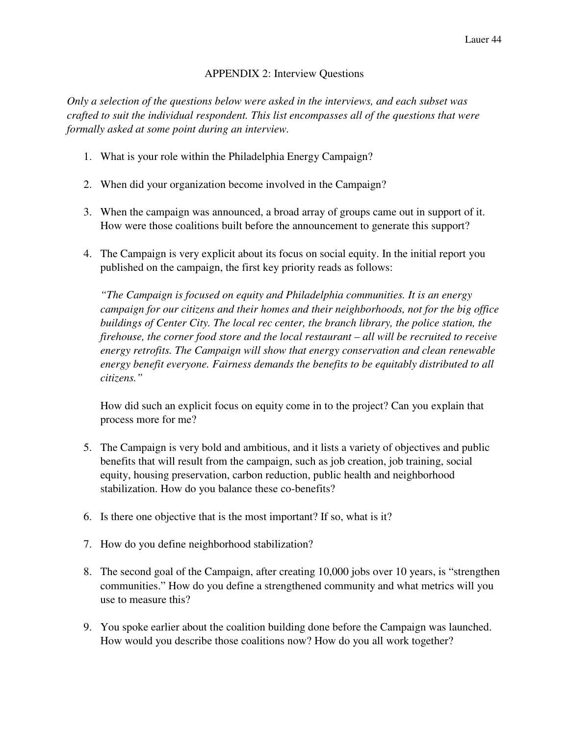## APPENDIX 2: Interview Questions

*Only a selection of the questions below were asked in the interviews, and each subset was crafted to suit the individual respondent. This list encompasses all of the questions that were formally asked at some point during an interview.* 

- 1. What is your role within the Philadelphia Energy Campaign?
- 2. When did your organization become involved in the Campaign?
- 3. When the campaign was announced, a broad array of groups came out in support of it. How were those coalitions built before the announcement to generate this support?
- 4. The Campaign is very explicit about its focus on social equity. In the initial report you published on the campaign, the first key priority reads as follows:

*"The Campaign is focused on equity and Philadelphia communities. It is an energy campaign for our citizens and their homes and their neighborhoods, not for the big office buildings of Center City. The local rec center, the branch library, the police station, the firehouse, the corner food store and the local restaurant – all will be recruited to receive energy retrofits. The Campaign will show that energy conservation and clean renewable energy benefit everyone. Fairness demands the benefits to be equitably distributed to all citizens."*

How did such an explicit focus on equity come in to the project? Can you explain that process more for me?

- 5. The Campaign is very bold and ambitious, and it lists a variety of objectives and public benefits that will result from the campaign, such as job creation, job training, social equity, housing preservation, carbon reduction, public health and neighborhood stabilization. How do you balance these co-benefits?
- 6. Is there one objective that is the most important? If so, what is it?
- 7. How do you define neighborhood stabilization?
- 8. The second goal of the Campaign, after creating 10,000 jobs over 10 years, is "strengthen communities." How do you define a strengthened community and what metrics will you use to measure this?
- 9. You spoke earlier about the coalition building done before the Campaign was launched. How would you describe those coalitions now? How do you all work together?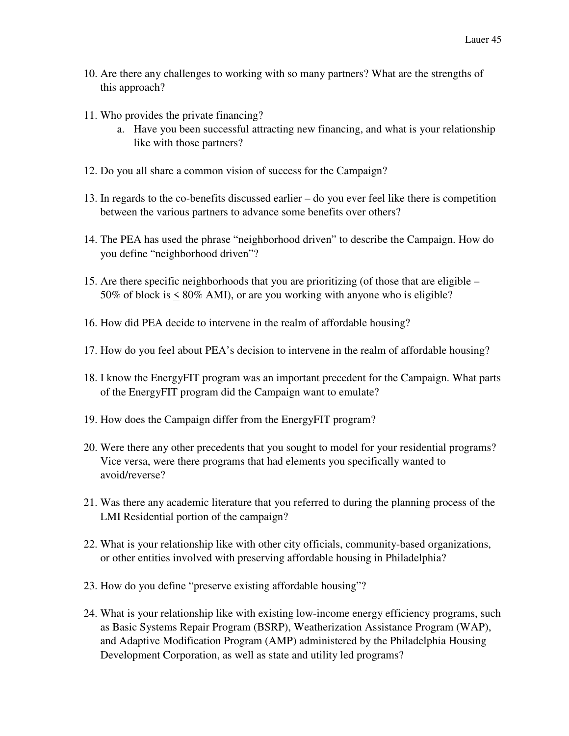- 10. Are there any challenges to working with so many partners? What are the strengths of this approach?
- 11. Who provides the private financing?
	- a. Have you been successful attracting new financing, and what is your relationship like with those partners?
- 12. Do you all share a common vision of success for the Campaign?
- 13. In regards to the co-benefits discussed earlier do you ever feel like there is competition between the various partners to advance some benefits over others?
- 14. The PEA has used the phrase "neighborhood driven" to describe the Campaign. How do you define "neighborhood driven"?
- 15. Are there specific neighborhoods that you are prioritizing (of those that are eligible 50% of block is  $\leq 80\%$  AMI), or are you working with anyone who is eligible?
- 16. How did PEA decide to intervene in the realm of affordable housing?
- 17. How do you feel about PEA's decision to intervene in the realm of affordable housing?
- 18. I know the EnergyFIT program was an important precedent for the Campaign. What parts of the EnergyFIT program did the Campaign want to emulate?
- 19. How does the Campaign differ from the EnergyFIT program?
- 20. Were there any other precedents that you sought to model for your residential programs? Vice versa, were there programs that had elements you specifically wanted to avoid/reverse?
- 21. Was there any academic literature that you referred to during the planning process of the LMI Residential portion of the campaign?
- 22. What is your relationship like with other city officials, community-based organizations, or other entities involved with preserving affordable housing in Philadelphia?
- 23. How do you define "preserve existing affordable housing"?
- 24. What is your relationship like with existing low-income energy efficiency programs, such as Basic Systems Repair Program (BSRP), Weatherization Assistance Program (WAP), and Adaptive Modification Program (AMP) administered by the Philadelphia Housing Development Corporation, as well as state and utility led programs?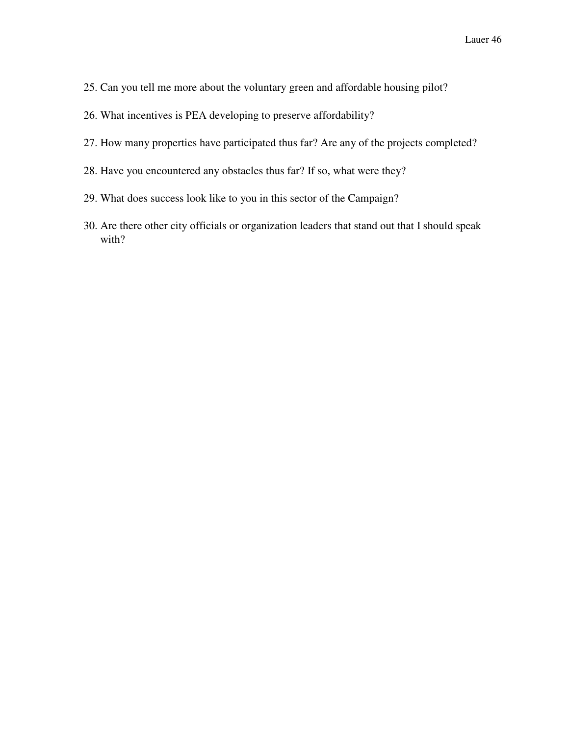- 25. Can you tell me more about the voluntary green and affordable housing pilot?
- 26. What incentives is PEA developing to preserve affordability?
- 27. How many properties have participated thus far? Are any of the projects completed?
- 28. Have you encountered any obstacles thus far? If so, what were they?
- 29. What does success look like to you in this sector of the Campaign?
- 30. Are there other city officials or organization leaders that stand out that I should speak with?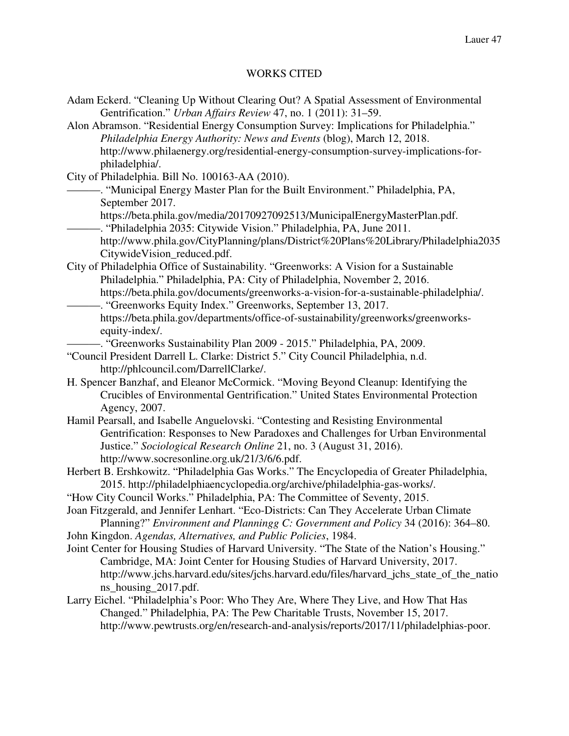## WORKS CITED

- Adam Eckerd. "Cleaning Up Without Clearing Out? A Spatial Assessment of Environmental Gentrification." *Urban Affairs Review* 47, no. 1 (2011): 31–59.
- Alon Abramson. "Residential Energy Consumption Survey: Implications for Philadelphia." *Philadelphia Energy Authority: News and Events* (blog), March 12, 2018. http://www.philaenergy.org/residential-energy-consumption-survey-implications-forphiladelphia/.
- City of Philadelphia. Bill No. 100163-AA (2010).

———. "Municipal Energy Master Plan for the Built Environment." Philadelphia, PA, September 2017.

https://beta.phila.gov/media/20170927092513/MunicipalEnergyMasterPlan.pdf.

-. "Philadelphia 2035: Citywide Vision." Philadelphia, PA, June 2011. http://www.phila.gov/CityPlanning/plans/District%20Plans%20Library/Philadelphia2035 CitywideVision\_reduced.pdf.

- City of Philadelphia Office of Sustainability. "Greenworks: A Vision for a Sustainable Philadelphia." Philadelphia, PA: City of Philadelphia, November 2, 2016. https://beta.phila.gov/documents/greenworks-a-vision-for-a-sustainable-philadelphia/.
	- ———. "Greenworks Equity Index." Greenworks, September 13, 2017. https://beta.phila.gov/departments/office-of-sustainability/greenworks/greenworksequity-index/.
	- -. "Greenworks Sustainability Plan 2009 2015." Philadelphia, PA, 2009.
- "Council President Darrell L. Clarke: District 5." City Council Philadelphia, n.d. http://phlcouncil.com/DarrellClarke/.
- H. Spencer Banzhaf, and Eleanor McCormick. "Moving Beyond Cleanup: Identifying the Crucibles of Environmental Gentrification." United States Environmental Protection Agency, 2007.
- Hamil Pearsall, and Isabelle Anguelovski. "Contesting and Resisting Environmental Gentrification: Responses to New Paradoxes and Challenges for Urban Environmental Justice." *Sociological Research Online* 21, no. 3 (August 31, 2016). http://www.socresonline.org.uk/21/3/6/6.pdf.
- Herbert B. Ershkowitz. "Philadelphia Gas Works." The Encyclopedia of Greater Philadelphia, 2015. http://philadelphiaencyclopedia.org/archive/philadelphia-gas-works/.
- "How City Council Works." Philadelphia, PA: The Committee of Seventy, 2015.

Joan Fitzgerald, and Jennifer Lenhart. "Eco-Districts: Can They Accelerate Urban Climate Planning?" *Environment and Planningg C: Government and Policy* 34 (2016): 364–80.

- John Kingdon. *Agendas, Alternatives, and Public Policies*, 1984.
- Joint Center for Housing Studies of Harvard University. "The State of the Nation's Housing." Cambridge, MA: Joint Center for Housing Studies of Harvard University, 2017. http://www.jchs.harvard.edu/sites/jchs.harvard.edu/files/harvard\_jchs\_state\_of\_the\_natio ns\_housing\_2017.pdf.
- Larry Eichel. "Philadelphia's Poor: Who They Are, Where They Live, and How That Has Changed." Philadelphia, PA: The Pew Charitable Trusts, November 15, 2017. http://www.pewtrusts.org/en/research-and-analysis/reports/2017/11/philadelphias-poor.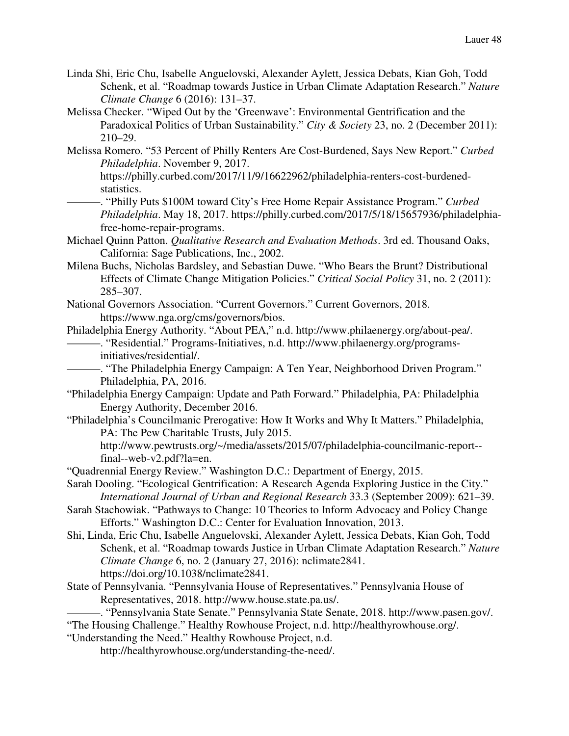- Linda Shi, Eric Chu, Isabelle Anguelovski, Alexander Aylett, Jessica Debats, Kian Goh, Todd Schenk, et al. "Roadmap towards Justice in Urban Climate Adaptation Research." *Nature Climate Change* 6 (2016): 131–37.
- Melissa Checker. "Wiped Out by the 'Greenwave': Environmental Gentrification and the Paradoxical Politics of Urban Sustainability." *City & Society* 23, no. 2 (December 2011): 210–29.
- Melissa Romero. "53 Percent of Philly Renters Are Cost-Burdened, Says New Report." *Curbed Philadelphia*. November 9, 2017.

https://philly.curbed.com/2017/11/9/16622962/philadelphia-renters-cost-burdenedstatistics.

- ———. "Philly Puts \$100M toward City's Free Home Repair Assistance Program." *Curbed Philadelphia*. May 18, 2017. https://philly.curbed.com/2017/5/18/15657936/philadelphiafree-home-repair-programs.
- Michael Quinn Patton. *Qualitative Research and Evaluation Methods*. 3rd ed. Thousand Oaks, California: Sage Publications, Inc., 2002.
- Milena Buchs, Nicholas Bardsley, and Sebastian Duwe. "Who Bears the Brunt? Distributional Effects of Climate Change Mitigation Policies." *Critical Social Policy* 31, no. 2 (2011): 285–307.
- National Governors Association. "Current Governors." Current Governors, 2018. https://www.nga.org/cms/governors/bios.
- Philadelphia Energy Authority. "About PEA," n.d. http://www.philaenergy.org/about-pea/. ———. "Residential." Programs-Initiatives, n.d. http://www.philaenergy.org/programsinitiatives/residential/.
- ———. "The Philadelphia Energy Campaign: A Ten Year, Neighborhood Driven Program." Philadelphia, PA, 2016.
- "Philadelphia Energy Campaign: Update and Path Forward." Philadelphia, PA: Philadelphia Energy Authority, December 2016.
- "Philadelphia's Councilmanic Prerogative: How It Works and Why It Matters." Philadelphia, PA: The Pew Charitable Trusts, July 2015.

- "Quadrennial Energy Review." Washington D.C.: Department of Energy, 2015.
- Sarah Dooling. "Ecological Gentrification: A Research Agenda Exploring Justice in the City." *International Journal of Urban and Regional Research* 33.3 (September 2009): 621–39.
- Sarah Stachowiak. "Pathways to Change: 10 Theories to Inform Advocacy and Policy Change Efforts." Washington D.C.: Center for Evaluation Innovation, 2013.
- Shi, Linda, Eric Chu, Isabelle Anguelovski, Alexander Aylett, Jessica Debats, Kian Goh, Todd Schenk, et al. "Roadmap towards Justice in Urban Climate Adaptation Research." *Nature Climate Change* 6, no. 2 (January 27, 2016): nclimate2841. https://doi.org/10.1038/nclimate2841.
- State of Pennsylvania. "Pennsylvania House of Representatives." Pennsylvania House of Representatives, 2018. http://www.house.state.pa.us/.
- -. "Pennsylvania State Senate." Pennsylvania State Senate, 2018. http://www.pasen.gov/.
- "The Housing Challenge." Healthy Rowhouse Project, n.d. http://healthyrowhouse.org/.
- "Understanding the Need." Healthy Rowhouse Project, n.d.

http://healthyrowhouse.org/understanding-the-need/.

http://www.pewtrusts.org/~/media/assets/2015/07/philadelphia-councilmanic-report- final--web-v2.pdf?la=en.